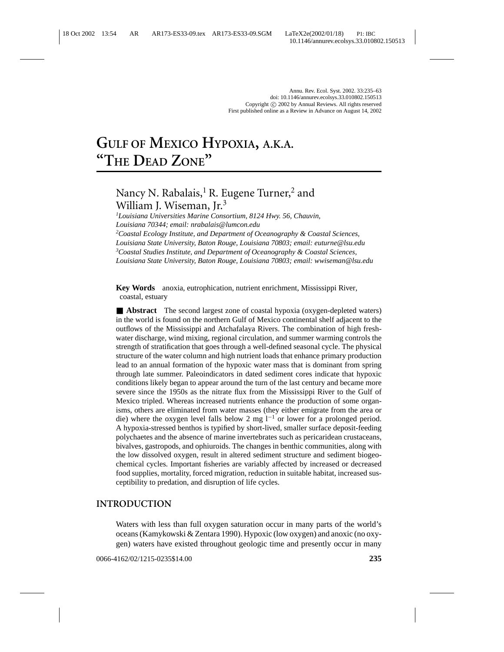# **GULF OF MEXICO HYPOXIA, A.K.A. "THE DEAD ZONE"**

# Nancy N. Rabalais,  $R$ . Eugene Turner,<sup>2</sup> and William J. Wiseman, Jr.<sup>3</sup>

*1 Louisiana Universities Marine Consortium, 8124 Hwy. 56, Chauvin, Louisiana 70344; email: nrabalais@lumcon.edu 2 Coastal Ecology Institute, and Department of Oceanography & Coastal Sciences, Louisiana State University, Baton Rouge, Louisiana 70803; email: euturne@lsu.edu*

*3 Coastal Studies Institute, and Department of Oceanography & Coastal Sciences, Louisiana State University, Baton Rouge, Louisiana 70803; email: wwiseman@lsu.edu*

**Key Words** anoxia, eutrophication, nutrient enrichment, Mississippi River, coastal, estuary

■ **Abstract** The second largest zone of coastal hypoxia (oxygen-depleted waters) in the world is found on the northern Gulf of Mexico continental shelf adjacent to the outflows of the Mississippi and Atchafalaya Rivers. The combination of high freshwater discharge, wind mixing, regional circulation, and summer warming controls the strength of stratification that goes through a well-defined seasonal cycle. The physical structure of the water column and high nutrient loads that enhance primary production lead to an annual formation of the hypoxic water mass that is dominant from spring through late summer. Paleoindicators in dated sediment cores indicate that hypoxic conditions likely began to appear around the turn of the last century and became more severe since the 1950s as the nitrate flux from the Mississippi River to the Gulf of Mexico tripled. Whereas increased nutrients enhance the production of some organisms, others are eliminated from water masses (they either emigrate from the area or die) where the oxygen level falls below 2 mg l<sup>-1</sup> or lower for a prolonged period. A hypoxia-stressed benthos is typified by short-lived, smaller surface deposit-feeding polychaetes and the absence of marine invertebrates such as pericaridean crustaceans, bivalves, gastropods, and ophiuroids. The changes in benthic communities, along with the low dissolved oxygen, result in altered sediment structure and sediment biogeochemical cycles. Important fisheries are variably affected by increased or decreased food supplies, mortality, forced migration, reduction in suitable habitat, increased susceptibility to predation, and disruption of life cycles.

## **INTRODUCTION**

Waters with less than full oxygen saturation occur in many parts of the world's oceans (Kamykowski & Zentara 1990). Hypoxic (low oxygen) and anoxic (no oxygen) waters have existed throughout geologic time and presently occur in many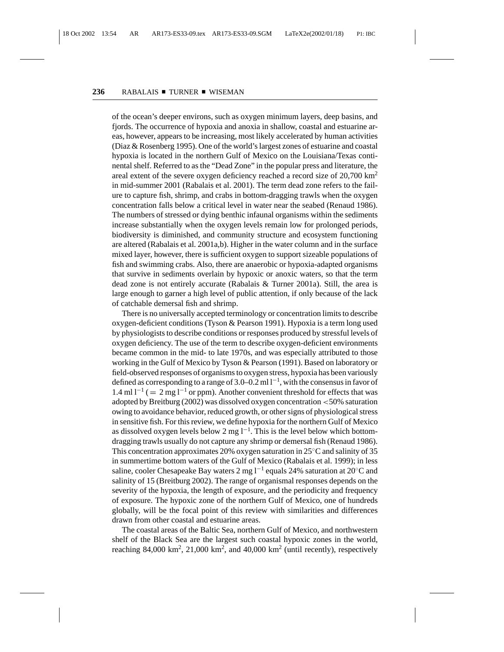of the ocean's deeper environs, such as oxygen minimum layers, deep basins, and fjords. The occurrence of hypoxia and anoxia in shallow, coastal and estuarine areas, however, appears to be increasing, most likely accelerated by human activities (Diaz & Rosenberg 1995). One of the world's largest zones of estuarine and coastal hypoxia is located in the northern Gulf of Mexico on the Louisiana/Texas continental shelf. Referred to as the "Dead Zone" in the popular press and literature, the areal extent of the severe oxygen deficiency reached a record size of  $20,700 \text{ km}^2$ in mid-summer 2001 (Rabalais et al. 2001). The term dead zone refers to the failure to capture fish, shrimp, and crabs in bottom-dragging trawls when the oxygen concentration falls below a critical level in water near the seabed (Renaud 1986). The numbers of stressed or dying benthic infaunal organisms within the sediments increase substantially when the oxygen levels remain low for prolonged periods, biodiversity is diminished, and community structure and ecosystem functioning are altered (Rabalais et al. 2001a,b). Higher in the water column and in the surface mixed layer, however, there is sufficient oxygen to support sizeable populations of fish and swimming crabs. Also, there are anaerobic or hypoxia-adapted organisms that survive in sediments overlain by hypoxic or anoxic waters, so that the term dead zone is not entirely accurate (Rabalais & Turner 2001a). Still, the area is large enough to garner a high level of public attention, if only because of the lack of catchable demersal fish and shrimp.

There is no universally accepted terminology or concentration limits to describe oxygen-deficient conditions (Tyson & Pearson 1991). Hypoxia is a term long used by physiologists to describe conditions or responses produced by stressful levels of oxygen deficiency. The use of the term to describe oxygen-deficient environments became common in the mid- to late 1970s, and was especially attributed to those working in the Gulf of Mexico by Tyson & Pearson (1991). Based on laboratory or field-observed responses of organisms to oxygen stress, hypoxia has been variously defined as corresponding to a range of 3.0–0.2 ml  $l^{-1}$ , with the consensus in favor of  $1.4$  ml l<sup>-1</sup> ( = 2 mg l<sup>-1</sup> or ppm). Another convenient threshold for effects that was adopted by Breitburg  $(2002)$  was dissolved oxygen concentration  $<$  50% saturation owing to avoidance behavior, reduced growth, or other signs of physiological stress in sensitive fish. For this review, we define hypoxia for the northern Gulf of Mexico as dissolved oxygen levels below 2 mg  $l^{-1}$ . This is the level below which bottomdragging trawls usually do not capture any shrimp or demersal fish (Renaud 1986). This concentration approximates 20% oxygen saturation in 25◦C and salinity of 35 in summertime bottom waters of the Gulf of Mexico (Rabalais et al. 1999); in less saline, cooler Chesapeake Bay waters 2 mg l<sup>-1</sup> equals 24% saturation at 20<sup>°</sup>C and salinity of 15 (Breitburg 2002). The range of organismal responses depends on the severity of the hypoxia, the length of exposure, and the periodicity and frequency of exposure. The hypoxic zone of the northern Gulf of Mexico, one of hundreds globally, will be the focal point of this review with similarities and differences drawn from other coastal and estuarine areas.

The coastal areas of the Baltic Sea, northern Gulf of Mexico, and northwestern shelf of the Black Sea are the largest such coastal hypoxic zones in the world, reaching 84,000 km<sup>2</sup>, 21,000 km<sup>2</sup>, and 40,000 km<sup>2</sup> (until recently), respectively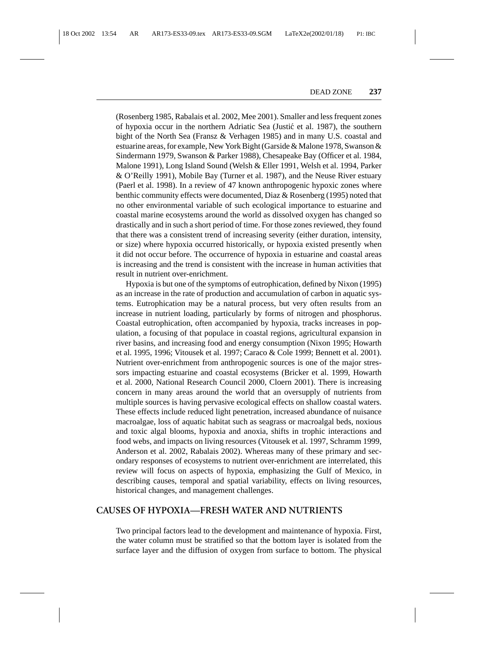(Rosenberg 1985, Rabalais et al. 2002, Mee 2001). Smaller and less frequent zones of hypoxia occur in the northern Adriatic Sea (Justi´c et al. 1987), the southern bight of the North Sea (Fransz & Verhagen 1985) and in many U.S. coastal and estuarine areas, for example, New York Bight (Garside & Malone 1978, Swanson & Sindermann 1979, Swanson & Parker 1988), Chesapeake Bay (Officer et al. 1984, Malone 1991), Long Island Sound (Welsh & Eller 1991, Welsh et al. 1994, Parker & O'Reilly 1991), Mobile Bay (Turner et al. 1987), and the Neuse River estuary (Paerl et al. 1998). In a review of 47 known anthropogenic hypoxic zones where benthic community effects were documented, Diaz & Rosenberg (1995) noted that no other environmental variable of such ecological importance to estuarine and coastal marine ecosystems around the world as dissolved oxygen has changed so drastically and in such a short period of time. For those zones reviewed, they found that there was a consistent trend of increasing severity (either duration, intensity, or size) where hypoxia occurred historically, or hypoxia existed presently when it did not occur before. The occurrence of hypoxia in estuarine and coastal areas is increasing and the trend is consistent with the increase in human activities that result in nutrient over-enrichment.

Hypoxia is but one of the symptoms of eutrophication, defined by Nixon (1995) as an increase in the rate of production and accumulation of carbon in aquatic systems. Eutrophication may be a natural process, but very often results from an increase in nutrient loading, particularly by forms of nitrogen and phosphorus. Coastal eutrophication, often accompanied by hypoxia, tracks increases in population, a focusing of that populace in coastal regions, agricultural expansion in river basins, and increasing food and energy consumption (Nixon 1995; Howarth et al. 1995, 1996; Vitousek et al. 1997; Caraco & Cole 1999; Bennett et al. 2001). Nutrient over-enrichment from anthropogenic sources is one of the major stressors impacting estuarine and coastal ecosystems (Bricker et al. 1999, Howarth et al. 2000, National Research Council 2000, Cloern 2001). There is increasing concern in many areas around the world that an oversupply of nutrients from multiple sources is having pervasive ecological effects on shallow coastal waters. These effects include reduced light penetration, increased abundance of nuisance macroalgae, loss of aquatic habitat such as seagrass or macroalgal beds, noxious and toxic algal blooms, hypoxia and anoxia, shifts in trophic interactions and food webs, and impacts on living resources (Vitousek et al. 1997, Schramm 1999, Anderson et al. 2002, Rabalais 2002). Whereas many of these primary and secondary responses of ecosystems to nutrient over-enrichment are interrelated, this review will focus on aspects of hypoxia, emphasizing the Gulf of Mexico, in describing causes, temporal and spatial variability, effects on living resources, historical changes, and management challenges.

## **CAUSES OF HYPOXIA—FRESH WATER AND NUTRIENTS**

Two principal factors lead to the development and maintenance of hypoxia. First, the water column must be stratified so that the bottom layer is isolated from the surface layer and the diffusion of oxygen from surface to bottom. The physical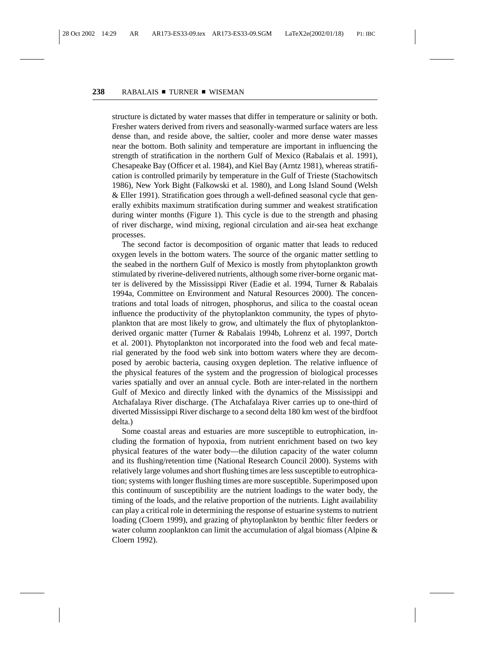structure is dictated by water masses that differ in temperature or salinity or both. Fresher waters derived from rivers and seasonally-warmed surface waters are less dense than, and reside above, the saltier, cooler and more dense water masses near the bottom. Both salinity and temperature are important in influencing the strength of stratification in the northern Gulf of Mexico (Rabalais et al. 1991), Chesapeake Bay (Officer et al. 1984), and Kiel Bay (Arntz 1981), whereas stratification is controlled primarily by temperature in the Gulf of Trieste (Stachowitsch 1986), New York Bight (Falkowski et al. 1980), and Long Island Sound (Welsh & Eller 1991). Stratification goes through a well-defined seasonal cycle that generally exhibits maximum stratification during summer and weakest stratification during winter months (Figure 1). This cycle is due to the strength and phasing of river discharge, wind mixing, regional circulation and air-sea heat exchange processes.

The second factor is decomposition of organic matter that leads to reduced oxygen levels in the bottom waters. The source of the organic matter settling to the seabed in the northern Gulf of Mexico is mostly from phytoplankton growth stimulated by riverine-delivered nutrients, although some river-borne organic matter is delivered by the Mississippi River (Eadie et al. 1994, Turner & Rabalais 1994a, Committee on Environment and Natural Resources 2000). The concentrations and total loads of nitrogen, phosphorus, and silica to the coastal ocean influence the productivity of the phytoplankton community, the types of phytoplankton that are most likely to grow, and ultimately the flux of phytoplanktonderived organic matter (Turner & Rabalais 1994b, Lohrenz et al. 1997, Dortch et al. 2001). Phytoplankton not incorporated into the food web and fecal material generated by the food web sink into bottom waters where they are decomposed by aerobic bacteria, causing oxygen depletion. The relative influence of the physical features of the system and the progression of biological processes varies spatially and over an annual cycle. Both are inter-related in the northern Gulf of Mexico and directly linked with the dynamics of the Mississippi and Atchafalaya River discharge. (The Atchafalaya River carries up to one-third of diverted Mississippi River discharge to a second delta 180 km west of the birdfoot delta.)

Some coastal areas and estuaries are more susceptible to eutrophication, including the formation of hypoxia, from nutrient enrichment based on two key physical features of the water body—the dilution capacity of the water column and its flushing/retention time (National Research Council 2000). Systems with relatively large volumes and short flushing times are less susceptible to eutrophication; systems with longer flushing times are more susceptible. Superimposed upon this continuum of susceptibility are the nutrient loadings to the water body, the timing of the loads, and the relative proportion of the nutrients. Light availability can play a critical role in determining the response of estuarine systems to nutrient loading (Cloern 1999), and grazing of phytoplankton by benthic filter feeders or water column zooplankton can limit the accumulation of algal biomass (Alpine & Cloern 1992).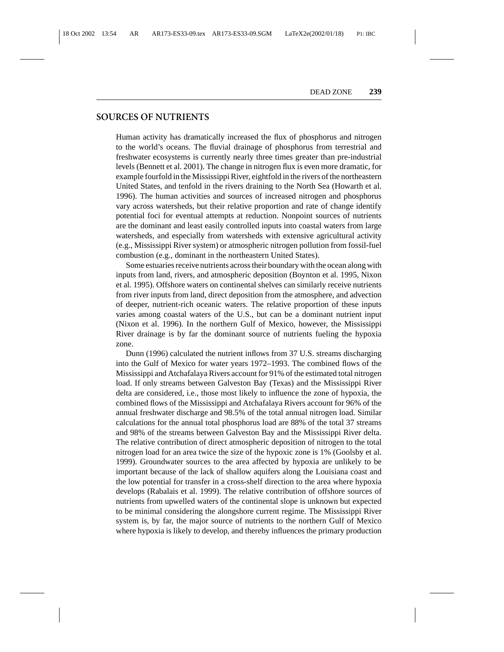#### **SOURCES OF NUTRIENTS**

Human activity has dramatically increased the flux of phosphorus and nitrogen to the world's oceans. The fluvial drainage of phosphorus from terrestrial and freshwater ecosystems is currently nearly three times greater than pre-industrial levels (Bennett et al. 2001). The change in nitrogen flux is even more dramatic, for example fourfold in the Mississippi River, eightfold in the rivers of the northeastern United States, and tenfold in the rivers draining to the North Sea (Howarth et al. 1996). The human activities and sources of increased nitrogen and phosphorus vary across watersheds, but their relative proportion and rate of change identify potential foci for eventual attempts at reduction. Nonpoint sources of nutrients are the dominant and least easily controlled inputs into coastal waters from large watersheds, and especially from watersheds with extensive agricultural activity (e.g., Mississippi River system) or atmospheric nitrogen pollution from fossil-fuel combustion (e.g., dominant in the northeastern United States).

Some estuaries receive nutrients across their boundary with the ocean along with inputs from land, rivers, and atmospheric deposition (Boynton et al. 1995, Nixon et al. 1995). Offshore waters on continental shelves can similarly receive nutrients from river inputs from land, direct deposition from the atmosphere, and advection of deeper, nutrient-rich oceanic waters. The relative proportion of these inputs varies among coastal waters of the U.S., but can be a dominant nutrient input (Nixon et al. 1996). In the northern Gulf of Mexico, however, the Mississippi River drainage is by far the dominant source of nutrients fueling the hypoxia zone.

Dunn (1996) calculated the nutrient inflows from 37 U.S. streams discharging into the Gulf of Mexico for water years 1972–1993. The combined flows of the Mississippi and Atchafalaya Rivers account for 91% of the estimated total nitrogen load. If only streams between Galveston Bay (Texas) and the Mississippi River delta are considered, i.e., those most likely to influence the zone of hypoxia, the combined flows of the Mississippi and Atchafalaya Rivers account for 96% of the annual freshwater discharge and 98.5% of the total annual nitrogen load. Similar calculations for the annual total phosphorus load are 88% of the total 37 streams and 98% of the streams between Galveston Bay and the Mississippi River delta. The relative contribution of direct atmospheric deposition of nitrogen to the total nitrogen load for an area twice the size of the hypoxic zone is 1% (Goolsby et al. 1999). Groundwater sources to the area affected by hypoxia are unlikely to be important because of the lack of shallow aquifers along the Louisiana coast and the low potential for transfer in a cross-shelf direction to the area where hypoxia develops (Rabalais et al. 1999). The relative contribution of offshore sources of nutrients from upwelled waters of the continental slope is unknown but expected to be minimal considering the alongshore current regime. The Mississippi River system is, by far, the major source of nutrients to the northern Gulf of Mexico where hypoxia is likely to develop, and thereby influences the primary production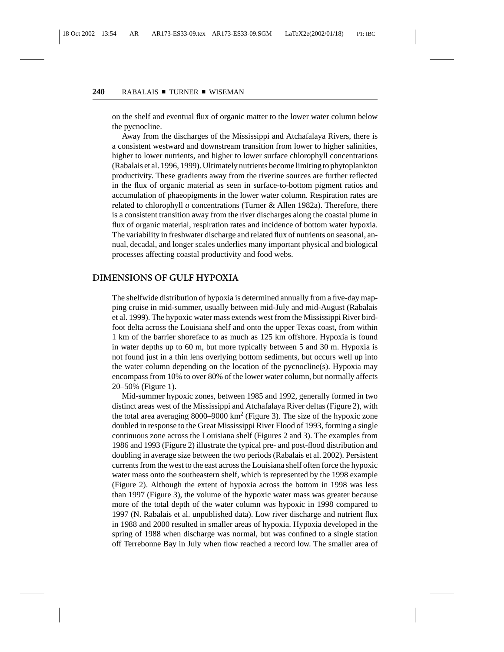on the shelf and eventual flux of organic matter to the lower water column below the pycnocline.

Away from the discharges of the Mississippi and Atchafalaya Rivers, there is a consistent westward and downstream transition from lower to higher salinities, higher to lower nutrients, and higher to lower surface chlorophyll concentrations (Rabalais et al. 1996, 1999). Ultimately nutrients become limiting to phytoplankton productivity. These gradients away from the riverine sources are further reflected in the flux of organic material as seen in surface-to-bottom pigment ratios and accumulation of phaeopigments in the lower water column. Respiration rates are related to chlorophyll *a* concentrations (Turner & Allen 1982a). Therefore, there is a consistent transition away from the river discharges along the coastal plume in flux of organic material, respiration rates and incidence of bottom water hypoxia. The variability in freshwater discharge and related flux of nutrients on seasonal, annual, decadal, and longer scales underlies many important physical and biological processes affecting coastal productivity and food webs.

#### **DIMENSIONS OF GULF HYPOXIA**

The shelfwide distribution of hypoxia is determined annually from a five-day mapping cruise in mid-summer, usually between mid-July and mid-August (Rabalais et al. 1999). The hypoxic water mass extends west from the Mississippi River birdfoot delta across the Louisiana shelf and onto the upper Texas coast, from within 1 km of the barrier shoreface to as much as 125 km offshore. Hypoxia is found in water depths up to 60 m, but more typically between 5 and 30 m. Hypoxia is not found just in a thin lens overlying bottom sediments, but occurs well up into the water column depending on the location of the pycnocline(s). Hypoxia may encompass from 10% to over 80% of the lower water column, but normally affects 20–50% (Figure 1).

Mid-summer hypoxic zones, between 1985 and 1992, generally formed in two distinct areas west of the Mississippi and Atchafalaya River deltas (Figure 2), with the total area averaging 8000–9000 km<sup>2</sup> (Figure 3). The size of the hypoxic zone doubled in response to the Great Mississippi River Flood of 1993, forming a single continuous zone across the Louisiana shelf (Figures 2 and 3). The examples from 1986 and 1993 (Figure 2) illustrate the typical pre- and post-flood distribution and doubling in average size between the two periods (Rabalais et al. 2002). Persistent currents from the west to the east across the Louisiana shelf often force the hypoxic water mass onto the southeastern shelf, which is represented by the 1998 example (Figure 2). Although the extent of hypoxia across the bottom in 1998 was less than 1997 (Figure 3), the volume of the hypoxic water mass was greater because more of the total depth of the water column was hypoxic in 1998 compared to 1997 (N. Rabalais et al. unpublished data). Low river discharge and nutrient flux in 1988 and 2000 resulted in smaller areas of hypoxia. Hypoxia developed in the spring of 1988 when discharge was normal, but was confined to a single station off Terrebonne Bay in July when flow reached a record low. The smaller area of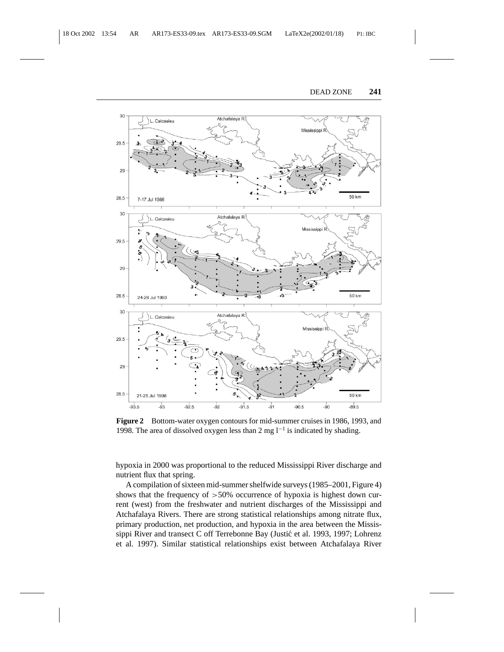

**Figure 2** Bottom-water oxygen contours for mid-summer cruises in 1986, 1993, and 1998. The area of dissolved oxygen less than 2 mg l−<sup>1</sup> is indicated by shading.

hypoxia in 2000 was proportional to the reduced Mississippi River discharge and nutrient flux that spring.

A compilation of sixteen mid-summer shelfwide surveys (1985–2001, Figure 4) shows that the frequency of >50% occurrence of hypoxia is highest down current (west) from the freshwater and nutrient discharges of the Mississippi and Atchafalaya Rivers. There are strong statistical relationships among nitrate flux, primary production, net production, and hypoxia in the area between the Mississippi River and transect C off Terrebonne Bay (Justić et al. 1993, 1997; Lohrenz et al. 1997). Similar statistical relationships exist between Atchafalaya River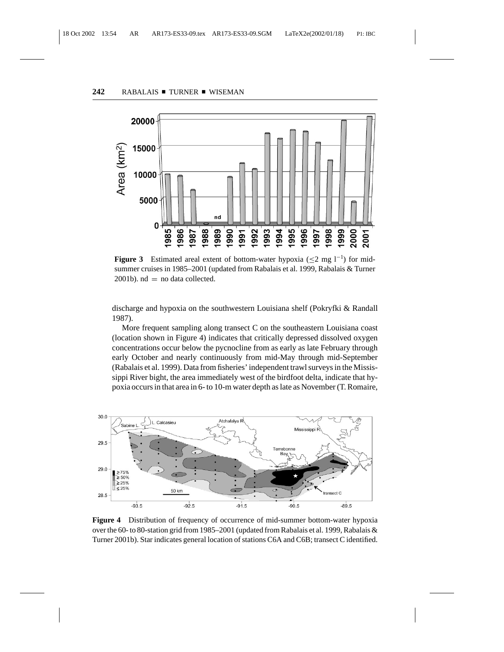

**Figure 3** Estimated areal extent of bottom-water hypoxia ( $\leq 2$  mg l<sup>-1</sup>) for midsummer cruises in 1985–2001 (updated from Rabalais et al. 1999, Rabalais & Turner  $2001b$ ). nd = no data collected.

discharge and hypoxia on the southwestern Louisiana shelf (Pokryfki & Randall 1987).

More frequent sampling along transect C on the southeastern Louisiana coast (location shown in Figure 4) indicates that critically depressed dissolved oxygen concentrations occur below the pycnocline from as early as late February through early October and nearly continuously from mid-May through mid-September (Rabalais et al. 1999). Data from fisheries' independent trawl surveys in the Mississippi River bight, the area immediately west of the birdfoot delta, indicate that hypoxia occurs in that area in 6- to 10-m water depth as late as November (T. Romaire,



**Figure 4** Distribution of frequency of occurrence of mid-summer bottom-water hypoxia over the 60- to 80-station grid from 1985–2001 (updated from Rabalais et al. 1999, Rabalais & Turner 2001b). Star indicates general location of stations C6A and C6B; transect C identified.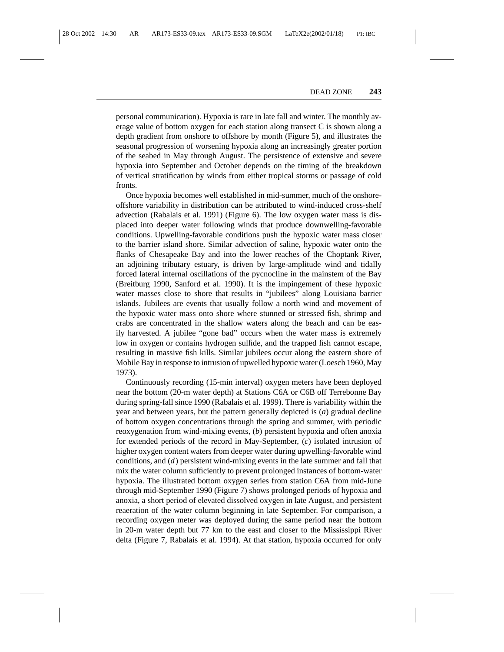personal communication). Hypoxia is rare in late fall and winter. The monthly average value of bottom oxygen for each station along transect C is shown along a depth gradient from onshore to offshore by month (Figure 5), and illustrates the seasonal progression of worsening hypoxia along an increasingly greater portion of the seabed in May through August. The persistence of extensive and severe hypoxia into September and October depends on the timing of the breakdown of vertical stratification by winds from either tropical storms or passage of cold fronts.

Once hypoxia becomes well established in mid-summer, much of the onshoreoffshore variability in distribution can be attributed to wind-induced cross-shelf advection (Rabalais et al. 1991) (Figure 6). The low oxygen water mass is displaced into deeper water following winds that produce downwelling-favorable conditions. Upwelling-favorable conditions push the hypoxic water mass closer to the barrier island shore. Similar advection of saline, hypoxic water onto the flanks of Chesapeake Bay and into the lower reaches of the Choptank River, an adjoining tributary estuary, is driven by large-amplitude wind and tidally forced lateral internal oscillations of the pycnocline in the mainstem of the Bay (Breitburg 1990, Sanford et al. 1990). It is the impingement of these hypoxic water masses close to shore that results in "jubilees" along Louisiana barrier islands. Jubilees are events that usually follow a north wind and movement of the hypoxic water mass onto shore where stunned or stressed fish, shrimp and crabs are concentrated in the shallow waters along the beach and can be easily harvested. A jubilee "gone bad" occurs when the water mass is extremely low in oxygen or contains hydrogen sulfide, and the trapped fish cannot escape, resulting in massive fish kills. Similar jubilees occur along the eastern shore of Mobile Bay in response to intrusion of upwelled hypoxic water (Loesch 1960, May 1973).

Continuously recording (15-min interval) oxygen meters have been deployed near the bottom (20-m water depth) at Stations C6A or C6B off Terrebonne Bay during spring-fall since 1990 (Rabalais et al. 1999). There is variability within the year and between years, but the pattern generally depicted is (*a*) gradual decline of bottom oxygen concentrations through the spring and summer, with periodic reoxygenation from wind-mixing events, (*b*) persistent hypoxia and often anoxia for extended periods of the record in May-September, (*c*) isolated intrusion of higher oxygen content waters from deeper water during upwelling-favorable wind conditions, and (*d*) persistent wind-mixing events in the late summer and fall that mix the water column sufficiently to prevent prolonged instances of bottom-water hypoxia. The illustrated bottom oxygen series from station C6A from mid-June through mid-September 1990 (Figure 7) shows prolonged periods of hypoxia and anoxia, a short period of elevated dissolved oxygen in late August, and persistent reaeration of the water column beginning in late September. For comparison, a recording oxygen meter was deployed during the same period near the bottom in 20-m water depth but 77 km to the east and closer to the Mississippi River delta (Figure 7, Rabalais et al. 1994). At that station, hypoxia occurred for only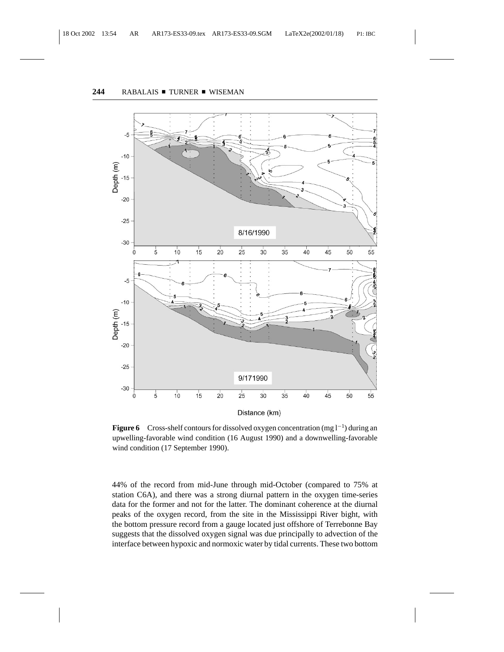

Figure 6 Cross-shelf contours for dissolved oxygen concentration (mg l<sup>-1</sup>) during an upwelling-favorable wind condition (16 August 1990) and a downwelling-favorable wind condition (17 September 1990).

44% of the record from mid-June through mid-October (compared to 75% at station C6A), and there was a strong diurnal pattern in the oxygen time-series data for the former and not for the latter. The dominant coherence at the diurnal peaks of the oxygen record, from the site in the Mississippi River bight, with the bottom pressure record from a gauge located just offshore of Terrebonne Bay suggests that the dissolved oxygen signal was due principally to advection of the interface between hypoxic and normoxic water by tidal currents. These two bottom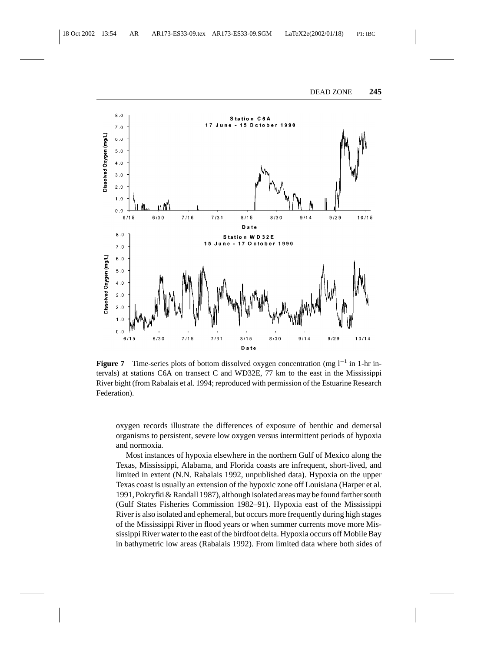

**Figure 7** Time-series plots of bottom dissolved oxygen concentration (mg 1<sup>-1</sup> in 1-hr intervals) at stations C6A on transect C and WD32E, 77 km to the east in the Mississippi River bight (from Rabalais et al. 1994; reproduced with permission of the Estuarine Research Federation).

oxygen records illustrate the differences of exposure of benthic and demersal organisms to persistent, severe low oxygen versus intermittent periods of hypoxia and normoxia.

Most instances of hypoxia elsewhere in the northern Gulf of Mexico along the Texas, Mississippi, Alabama, and Florida coasts are infrequent, short-lived, and limited in extent (N.N. Rabalais 1992, unpublished data). Hypoxia on the upper Texas coast is usually an extension of the hypoxic zone off Louisiana (Harper et al. 1991, Pokryfki & Randall 1987), although isolated areas may be found farther south (Gulf States Fisheries Commission 1982–91). Hypoxia east of the Mississippi River is also isolated and ephemeral, but occurs more frequently during high stages of the Mississippi River in flood years or when summer currents move more Mississippi River water to the east of the birdfoot delta. Hypoxia occurs off Mobile Bay in bathymetric low areas (Rabalais 1992). From limited data where both sides of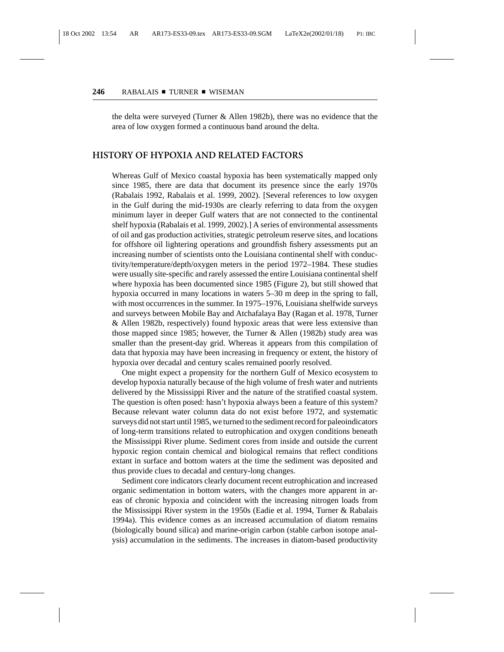the delta were surveyed (Turner & Allen 1982b), there was no evidence that the area of low oxygen formed a continuous band around the delta.

#### **HISTORY OF HYPOXIA AND RELATED FACTORS**

Whereas Gulf of Mexico coastal hypoxia has been systematically mapped only since 1985, there are data that document its presence since the early 1970s (Rabalais 1992, Rabalais et al. 1999, 2002). [Several references to low oxygen in the Gulf during the mid-1930s are clearly referring to data from the oxygen minimum layer in deeper Gulf waters that are not connected to the continental shelf hypoxia (Rabalais et al. 1999, 2002).] A series of environmental assessments of oil and gas production activities, strategic petroleum reserve sites, and locations for offshore oil lightering operations and groundfish fishery assessments put an increasing number of scientists onto the Louisiana continental shelf with conductivity/temperature/depth/oxygen meters in the period 1972–1984. These studies were usually site-specific and rarely assessed the entire Louisiana continental shelf where hypoxia has been documented since 1985 (Figure 2), but still showed that hypoxia occurred in many locations in waters 5–30 m deep in the spring to fall, with most occurrences in the summer. In 1975–1976, Louisiana shelfwide surveys and surveys between Mobile Bay and Atchafalaya Bay (Ragan et al. 1978, Turner & Allen 1982b, respectively) found hypoxic areas that were less extensive than those mapped since 1985; however, the Turner & Allen (1982b) study area was smaller than the present-day grid. Whereas it appears from this compilation of data that hypoxia may have been increasing in frequency or extent, the history of hypoxia over decadal and century scales remained poorly resolved.

One might expect a propensity for the northern Gulf of Mexico ecosystem to develop hypoxia naturally because of the high volume of fresh water and nutrients delivered by the Mississippi River and the nature of the stratified coastal system. The question is often posed: hasn't hypoxia always been a feature of this system? Because relevant water column data do not exist before 1972, and systematic surveys did not start until 1985, we turned to the sediment record for paleoindicators of long-term transitions related to eutrophication and oxygen conditions beneath the Mississippi River plume. Sediment cores from inside and outside the current hypoxic region contain chemical and biological remains that reflect conditions extant in surface and bottom waters at the time the sediment was deposited and thus provide clues to decadal and century-long changes.

Sediment core indicators clearly document recent eutrophication and increased organic sedimentation in bottom waters, with the changes more apparent in areas of chronic hypoxia and coincident with the increasing nitrogen loads from the Mississippi River system in the 1950s (Eadie et al. 1994, Turner & Rabalais 1994a). This evidence comes as an increased accumulation of diatom remains (biologically bound silica) and marine-origin carbon (stable carbon isotope analysis) accumulation in the sediments. The increases in diatom-based productivity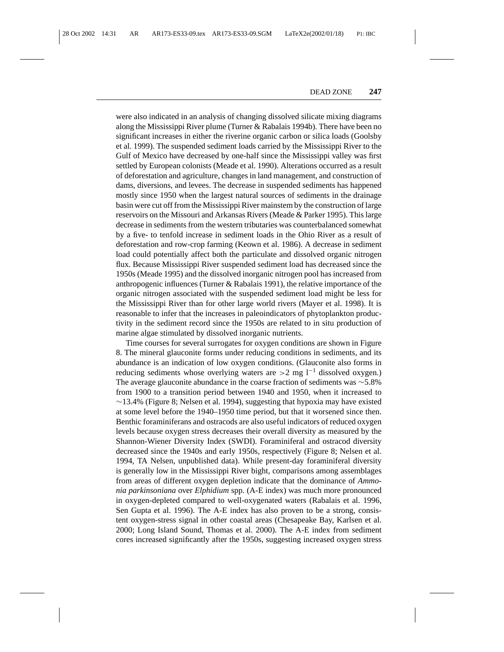were also indicated in an analysis of changing dissolved silicate mixing diagrams along the Mississippi River plume (Turner & Rabalais 1994b). There have been no significant increases in either the riverine organic carbon or silica loads (Goolsby et al. 1999). The suspended sediment loads carried by the Mississippi River to the Gulf of Mexico have decreased by one-half since the Mississippi valley was first settled by European colonists (Meade et al. 1990). Alterations occurred as a result of deforestation and agriculture, changes in land management, and construction of dams, diversions, and levees. The decrease in suspended sediments has happened mostly since 1950 when the largest natural sources of sediments in the drainage basin were cut off from the Mississippi River mainstem by the construction of large reservoirs on the Missouri and Arkansas Rivers (Meade & Parker 1995). This large decrease in sediments from the western tributaries was counterbalanced somewhat by a five- to tenfold increase in sediment loads in the Ohio River as a result of deforestation and row-crop farming (Keown et al. 1986). A decrease in sediment load could potentially affect both the particulate and dissolved organic nitrogen flux. Because Mississippi River suspended sediment load has decreased since the 1950s (Meade 1995) and the dissolved inorganic nitrogen pool has increased from anthropogenic influences (Turner  $\&$  Rabalais 1991), the relative importance of the organic nitrogen associated with the suspended sediment load might be less for the Mississippi River than for other large world rivers (Mayer et al. 1998). It is reasonable to infer that the increases in paleoindicators of phytoplankton productivity in the sediment record since the 1950s are related to in situ production of marine algae stimulated by dissolved inorganic nutrients.

Time courses for several surrogates for oxygen conditions are shown in Figure 8. The mineral glauconite forms under reducing conditions in sediments, and its abundance is an indication of low oxygen conditions. (Glauconite also forms in reducing sediments whose overlying waters are  $>2$  mg l<sup>-1</sup> dissolved oxygen.) The average glauconite abundance in the coarse fraction of sediments was ∼5.8% from 1900 to a transition period between 1940 and 1950, when it increased to  $\sim$ 13.4% (Figure 8; Nelsen et al. 1994), suggesting that hypoxia may have existed at some level before the 1940–1950 time period, but that it worsened since then. Benthic foraminiferans and ostracods are also useful indicators of reduced oxygen levels because oxygen stress decreases their overall diversity as measured by the Shannon-Wiener Diversity Index (SWDI). Foraminiferal and ostracod diversity decreased since the 1940s and early 1950s, respectively (Figure 8; Nelsen et al. 1994, TA Nelsen, unpublished data). While present-day foraminiferal diversity is generally low in the Mississippi River bight, comparisons among assemblages from areas of different oxygen depletion indicate that the dominance of *Ammonia parkinsoniana* over *Elphidium* spp. (A-E index) was much more pronounced in oxygen-depleted compared to well-oxygenated waters (Rabalais et al. 1996, Sen Gupta et al. 1996). The A-E index has also proven to be a strong, consistent oxygen-stress signal in other coastal areas (Chesapeake Bay, Karlsen et al. 2000; Long Island Sound, Thomas et al. 2000). The A-E index from sediment cores increased significantly after the 1950s, suggesting increased oxygen stress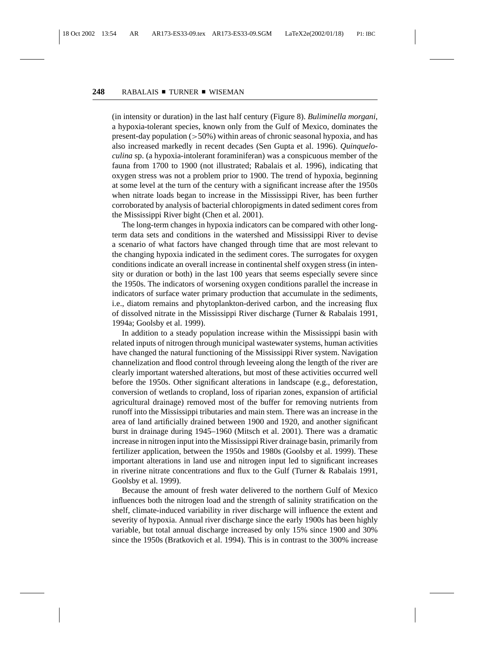(in intensity or duration) in the last half century (Figure 8). *Buliminella morgani*, a hypoxia-tolerant species, known only from the Gulf of Mexico, dominates the present-day population  $(50\%)$  within areas of chronic seasonal hypoxia, and has also increased markedly in recent decades (Sen Gupta et al. 1996). *Quinqueloculina* sp. (a hypoxia-intolerant foraminiferan) was a conspicuous member of the fauna from 1700 to 1900 (not illustrated; Rabalais et al. 1996), indicating that oxygen stress was not a problem prior to 1900. The trend of hypoxia, beginning at some level at the turn of the century with a significant increase after the 1950s when nitrate loads began to increase in the Mississippi River, has been further corroborated by analysis of bacterial chloropigments in dated sediment cores from the Mississippi River bight (Chen et al. 2001).

The long-term changes in hypoxia indicators can be compared with other longterm data sets and conditions in the watershed and Mississippi River to devise a scenario of what factors have changed through time that are most relevant to the changing hypoxia indicated in the sediment cores. The surrogates for oxygen conditions indicate an overall increase in continental shelf oxygen stress (in intensity or duration or both) in the last 100 years that seems especially severe since the 1950s. The indicators of worsening oxygen conditions parallel the increase in indicators of surface water primary production that accumulate in the sediments, i.e., diatom remains and phytoplankton-derived carbon, and the increasing flux of dissolved nitrate in the Mississippi River discharge (Turner & Rabalais 1991, 1994a; Goolsby et al. 1999).

In addition to a steady population increase within the Mississippi basin with related inputs of nitrogen through municipal wastewater systems, human activities have changed the natural functioning of the Mississippi River system. Navigation channelization and flood control through leveeing along the length of the river are clearly important watershed alterations, but most of these activities occurred well before the 1950s. Other significant alterations in landscape (e.g., deforestation, conversion of wetlands to cropland, loss of riparian zones, expansion of artificial agricultural drainage) removed most of the buffer for removing nutrients from runoff into the Mississippi tributaries and main stem. There was an increase in the area of land artificially drained between 1900 and 1920, and another significant burst in drainage during 1945–1960 (Mitsch et al. 2001). There was a dramatic increase in nitrogen input into the Mississippi River drainage basin, primarily from fertilizer application, between the 1950s and 1980s (Goolsby et al. 1999). These important alterations in land use and nitrogen input led to significant increases in riverine nitrate concentrations and flux to the Gulf (Turner & Rabalais 1991, Goolsby et al. 1999).

Because the amount of fresh water delivered to the northern Gulf of Mexico influences both the nitrogen load and the strength of salinity stratification on the shelf, climate-induced variability in river discharge will influence the extent and severity of hypoxia. Annual river discharge since the early 1900s has been highly variable, but total annual discharge increased by only 15% since 1900 and 30% since the 1950s (Bratkovich et al. 1994). This is in contrast to the 300% increase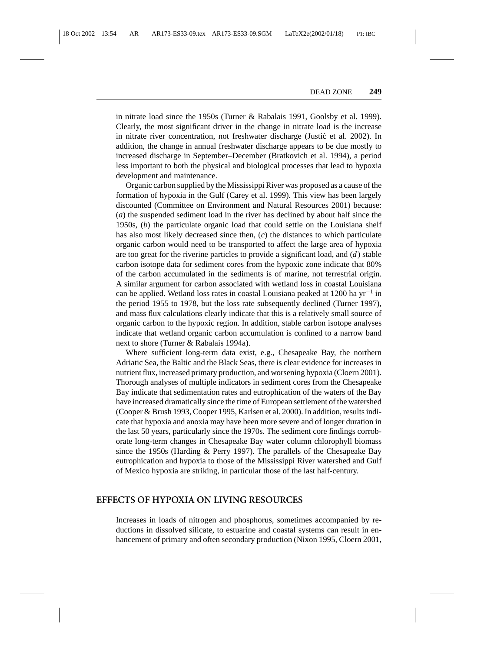in nitrate load since the 1950s (Turner & Rabalais 1991, Goolsby et al. 1999). Clearly, the most significant driver in the change in nitrate load is the increase in nitrate river concentration, not freshwater discharge (Justić et al. 2002). In addition, the change in annual freshwater discharge appears to be due mostly to increased discharge in September–December (Bratkovich et al. 1994), a period less important to both the physical and biological processes that lead to hypoxia development and maintenance.

Organic carbon supplied by the Mississippi River was proposed as a cause of the formation of hypoxia in the Gulf (Carey et al. 1999). This view has been largely discounted (Committee on Environment and Natural Resources 2001) because: (*a*) the suspended sediment load in the river has declined by about half since the 1950s, (*b*) the particulate organic load that could settle on the Louisiana shelf has also most likely decreased since then, (*c*) the distances to which particulate organic carbon would need to be transported to affect the large area of hypoxia are too great for the riverine particles to provide a significant load, and (*d*) stable carbon isotope data for sediment cores from the hypoxic zone indicate that 80% of the carbon accumulated in the sediments is of marine, not terrestrial origin. A similar argument for carbon associated with wetland loss in coastal Louisiana can be applied. Wetland loss rates in coastal Louisiana peaked at 1200 ha yr−<sup>1</sup> in the period 1955 to 1978, but the loss rate subsequently declined (Turner 1997), and mass flux calculations clearly indicate that this is a relatively small source of organic carbon to the hypoxic region. In addition, stable carbon isotope analyses indicate that wetland organic carbon accumulation is confined to a narrow band next to shore (Turner & Rabalais 1994a).

Where sufficient long-term data exist, e.g., Chesapeake Bay, the northern Adriatic Sea, the Baltic and the Black Seas, there is clear evidence for increases in nutrient flux, increased primary production, and worsening hypoxia (Cloern 2001). Thorough analyses of multiple indicators in sediment cores from the Chesapeake Bay indicate that sedimentation rates and eutrophication of the waters of the Bay have increased dramatically since the time of European settlement of the watershed (Cooper & Brush 1993, Cooper 1995, Karlsen et al. 2000). In addition, results indicate that hypoxia and anoxia may have been more severe and of longer duration in the last 50 years, particularly since the 1970s. The sediment core findings corroborate long-term changes in Chesapeake Bay water column chlorophyll biomass since the 1950s (Harding & Perry 1997). The parallels of the Chesapeake Bay eutrophication and hypoxia to those of the Mississippi River watershed and Gulf of Mexico hypoxia are striking, in particular those of the last half-century.

#### **EFFECTS OF HYPOXIA ON LIVING RESOURCES**

Increases in loads of nitrogen and phosphorus, sometimes accompanied by reductions in dissolved silicate, to estuarine and coastal systems can result in enhancement of primary and often secondary production (Nixon 1995, Cloern 2001,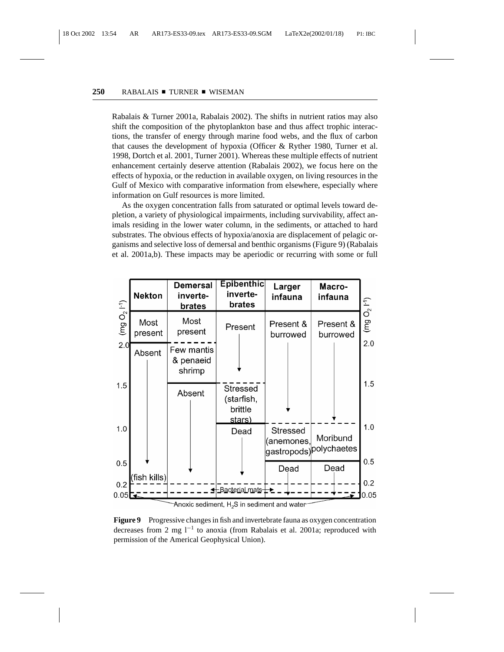Rabalais & Turner 2001a, Rabalais 2002). The shifts in nutrient ratios may also shift the composition of the phytoplankton base and thus affect trophic interactions, the transfer of energy through marine food webs, and the flux of carbon that causes the development of hypoxia (Officer & Ryther 1980, Turner et al. 1998, Dortch et al. 2001, Turner 2001). Whereas these multiple effects of nutrient enhancement certainly deserve attention (Rabalais 2002), we focus here on the effects of hypoxia, or the reduction in available oxygen, on living resources in the Gulf of Mexico with comparative information from elsewhere, especially where information on Gulf resources is more limited.

As the oxygen concentration falls from saturated or optimal levels toward depletion, a variety of physiological impairments, including survivability, affect animals residing in the lower water column, in the sediments, or attached to hard substrates. The obvious effects of hypoxia/anoxia are displacement of pelagic organisms and selective loss of demersal and benthic organisms (Figure 9) (Rabalais et al. 2001a,b). These impacts may be aperiodic or recurring with some or full



**Figure 9** Progressive changes in fish and invertebrate fauna as oxygen concentration decreases from 2 mg l−<sup>1</sup> to anoxia (from Rabalais et al. 2001a; reproduced with permission of the Americal Geophysical Union).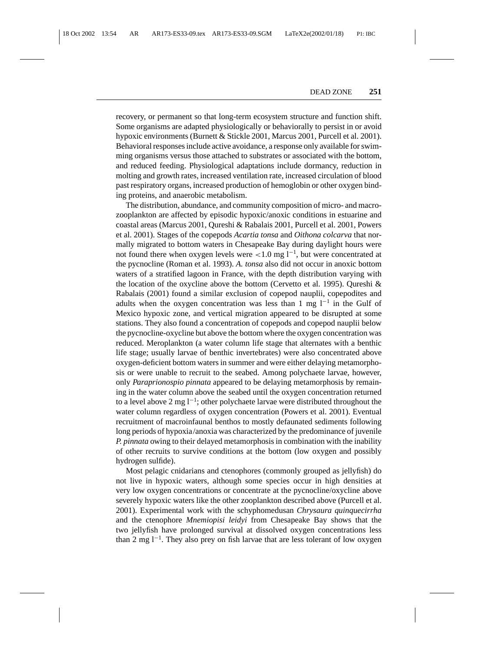recovery, or permanent so that long-term ecosystem structure and function shift. Some organisms are adapted physiologically or behaviorally to persist in or avoid hypoxic environments (Burnett & Stickle 2001, Marcus 2001, Purcell et al. 2001). Behavioral responses include active avoidance, a response only available for swimming organisms versus those attached to substrates or associated with the bottom, and reduced feeding. Physiological adaptations include dormancy, reduction in molting and growth rates, increased ventilation rate, increased circulation of blood past respiratory organs, increased production of hemoglobin or other oxygen binding proteins, and anaerobic metabolism.

The distribution, abundance, and community composition of micro- and macrozooplankton are affected by episodic hypoxic/anoxic conditions in estuarine and coastal areas (Marcus 2001, Qureshi & Rabalais 2001, Purcell et al. 2001, Powers et al. 2001). Stages of the copepods *Acartia tonsa* and *Oithona colcarva* that normally migrated to bottom waters in Chesapeake Bay during daylight hours were not found there when oxygen levels were <1.0 mg l<sup>-1</sup>, but were concentrated at the pycnocline (Roman et al. 1993). *A. tonsa* also did not occur in anoxic bottom waters of a stratified lagoon in France, with the depth distribution varying with the location of the oxycline above the bottom (Cervetto et al. 1995). Qureshi  $\&$ Rabalais (2001) found a similar exclusion of copepod nauplii, copepodites and adults when the oxygen concentration was less than 1 mg  $l^{-1}$  in the Gulf of Mexico hypoxic zone, and vertical migration appeared to be disrupted at some stations. They also found a concentration of copepods and copepod nauplii below the pycnocline-oxycline but above the bottom where the oxygen concentration was reduced. Meroplankton (a water column life stage that alternates with a benthic life stage; usually larvae of benthic invertebrates) were also concentrated above oxygen-deficient bottom waters in summer and were either delaying metamorphosis or were unable to recruit to the seabed. Among polychaete larvae, however, only *Paraprionospio pinnata* appeared to be delaying metamorphosis by remaining in the water column above the seabed until the oxygen concentration returned to a level above 2 mg l<sup>-1</sup>; other polychaete larvae were distributed throughout the water column regardless of oxygen concentration (Powers et al. 2001). Eventual recruitment of macroinfaunal benthos to mostly defaunated sediments following long periods of hypoxia/anoxia was characterized by the predominance of juvenile *P. pinnata* owing to their delayed metamorphosis in combination with the inability of other recruits to survive conditions at the bottom (low oxygen and possibly hydrogen sulfide).

Most pelagic cnidarians and ctenophores (commonly grouped as jellyfish) do not live in hypoxic waters, although some species occur in high densities at very low oxygen concentrations or concentrate at the pycnocline/oxycline above severely hypoxic waters like the other zooplankton described above (Purcell et al. 2001). Experimental work with the schyphomedusan *Chrysaura quinquecirrha* and the ctenophore *Mnemiopisi leidyi* from Chesapeake Bay shows that the two jellyfish have prolonged survival at dissolved oxygen concentrations less than 2 mg l<sup>-1</sup>. They also prey on fish larvae that are less tolerant of low oxygen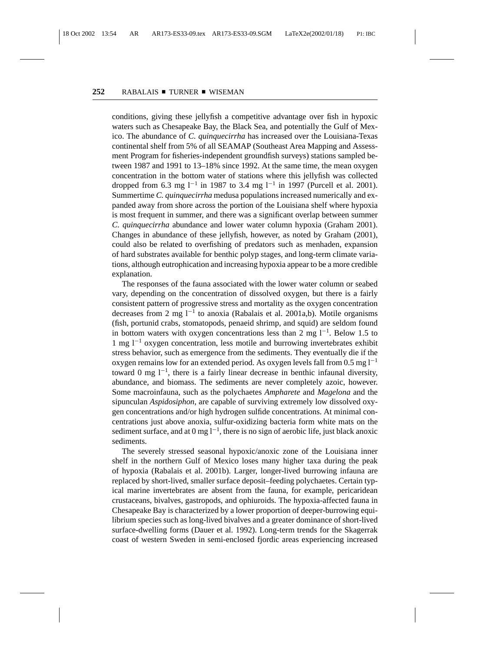conditions, giving these jellyfish a competitive advantage over fish in hypoxic waters such as Chesapeake Bay, the Black Sea, and potentially the Gulf of Mexico. The abundance of *C. quinquecirrha* has increased over the Louisiana-Texas continental shelf from 5% of all SEAMAP (Southeast Area Mapping and Assessment Program for fisheries-independent groundfish surveys) stations sampled between 1987 and 1991 to 13–18% since 1992. At the same time, the mean oxygen concentration in the bottom water of stations where this jellyfish was collected dropped from 6.3 mg l<sup>-1</sup> in 1987 to 3.4 mg l<sup>-1</sup> in 1997 (Purcell et al. 2001). Summertime *C. quinquecirrha* medusa populations increased numerically and expanded away from shore across the portion of the Louisiana shelf where hypoxia is most frequent in summer, and there was a significant overlap between summer *C. quinquecirrha* abundance and lower water column hypoxia (Graham 2001). Changes in abundance of these jellyfish, however, as noted by Graham (2001), could also be related to overfishing of predators such as menhaden, expansion of hard substrates available for benthic polyp stages, and long-term climate variations, although eutrophication and increasing hypoxia appear to be a more credible explanation.

The responses of the fauna associated with the lower water column or seabed vary, depending on the concentration of dissolved oxygen, but there is a fairly consistent pattern of progressive stress and mortality as the oxygen concentration decreases from 2 mg  $l^{-1}$  to anoxia (Rabalais et al. 2001a,b). Motile organisms (fish, portunid crabs, stomatopods, penaeid shrimp, and squid) are seldom found in bottom waters with oxygen concentrations less than 2 mg l−<sup>1</sup> . Below 1.5 to 1 mg l−<sup>1</sup> oxygen concentration, less motile and burrowing invertebrates exhibit stress behavior, such as emergence from the sediments. They eventually die if the oxygen remains low for an extended period. As oxygen levels fall from 0.5 mg  $l^{-1}$ toward 0 mg l−<sup>1</sup> , there is a fairly linear decrease in benthic infaunal diversity, abundance, and biomass. The sediments are never completely azoic, however. Some macroinfauna, such as the polychaetes *Ampharete* and *Magelona* and the sipunculan *Aspidosiphon*, are capable of surviving extremely low dissolved oxygen concentrations and/or high hydrogen sulfide concentrations. At minimal concentrations just above anoxia, sulfur-oxidizing bacteria form white mats on the sediment surface, and at 0 mg l<sup>-1</sup>, there is no sign of aerobic life, just black anoxic sediments.

The severely stressed seasonal hypoxic/anoxic zone of the Louisiana inner shelf in the northern Gulf of Mexico loses many higher taxa during the peak of hypoxia (Rabalais et al. 2001b). Larger, longer-lived burrowing infauna are replaced by short-lived, smaller surface deposit–feeding polychaetes. Certain typical marine invertebrates are absent from the fauna, for example, pericaridean crustaceans, bivalves, gastropods, and ophiuroids. The hypoxia-affected fauna in Chesapeake Bay is characterized by a lower proportion of deeper-burrowing equilibrium species such as long-lived bivalves and a greater dominance of short-lived surface-dwelling forms (Dauer et al. 1992). Long-term trends for the Skagerrak coast of western Sweden in semi-enclosed fjordic areas experiencing increased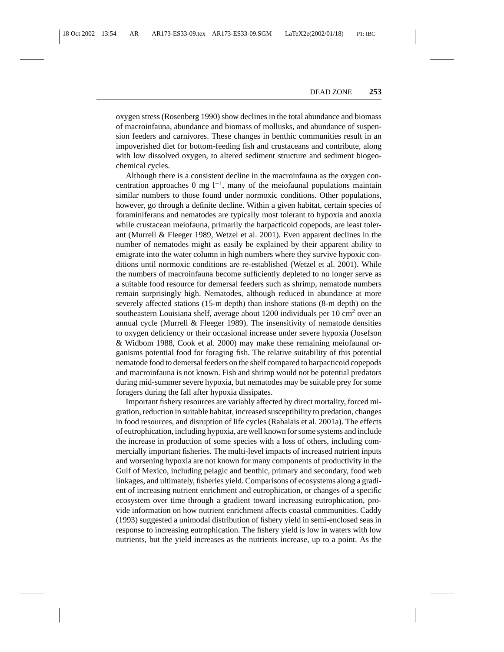oxygen stress (Rosenberg 1990) show declines in the total abundance and biomass of macroinfauna, abundance and biomass of mollusks, and abundance of suspension feeders and carnivores. These changes in benthic communities result in an impoverished diet for bottom-feeding fish and crustaceans and contribute, along with low dissolved oxygen, to altered sediment structure and sediment biogeochemical cycles.

Although there is a consistent decline in the macroinfauna as the oxygen concentration approaches 0 mg  $1^{-1}$ , many of the meiofaunal populations maintain similar numbers to those found under normoxic conditions. Other populations, however, go through a definite decline. Within a given habitat, certain species of foraminiferans and nematodes are typically most tolerant to hypoxia and anoxia while crustacean meiofauna, primarily the harpacticoid copepods, are least tolerant (Murrell & Fleeger 1989, Wetzel et al. 2001). Even apparent declines in the number of nematodes might as easily be explained by their apparent ability to emigrate into the water column in high numbers where they survive hypoxic conditions until normoxic conditions are re-established (Wetzel et al. 2001). While the numbers of macroinfauna become sufficiently depleted to no longer serve as a suitable food resource for demersal feeders such as shrimp, nematode numbers remain surprisingly high. Nematodes, although reduced in abundance at more severely affected stations (15-m depth) than inshore stations (8-m depth) on the southeastern Louisiana shelf, average about  $1200$  individuals per 10 cm<sup>2</sup> over an annual cycle (Murrell & Fleeger 1989). The insensitivity of nematode densities to oxygen deficiency or their occasional increase under severe hypoxia (Josefson & Widbom 1988, Cook et al. 2000) may make these remaining meiofaunal organisms potential food for foraging fish. The relative suitability of this potential nematode food to demersal feeders on the shelf compared to harpacticoid copepods and macroinfauna is not known. Fish and shrimp would not be potential predators during mid-summer severe hypoxia, but nematodes may be suitable prey for some foragers during the fall after hypoxia dissipates.

Important fishery resources are variably affected by direct mortality, forced migration, reduction in suitable habitat, increased susceptibility to predation, changes in food resources, and disruption of life cycles (Rabalais et al. 2001a). The effects of eutrophication, including hypoxia, are well known for some systems and include the increase in production of some species with a loss of others, including commercially important fisheries. The multi-level impacts of increased nutrient inputs and worsening hypoxia are not known for many components of productivity in the Gulf of Mexico, including pelagic and benthic, primary and secondary, food web linkages, and ultimately, fisheries yield. Comparisons of ecosystems along a gradient of increasing nutrient enrichment and eutrophication, or changes of a specific ecosystem over time through a gradient toward increasing eutrophication, provide information on how nutrient enrichment affects coastal communities. Caddy (1993) suggested a unimodal distribution of fishery yield in semi-enclosed seas in response to increasing eutrophication. The fishery yield is low in waters with low nutrients, but the yield increases as the nutrients increase, up to a point. As the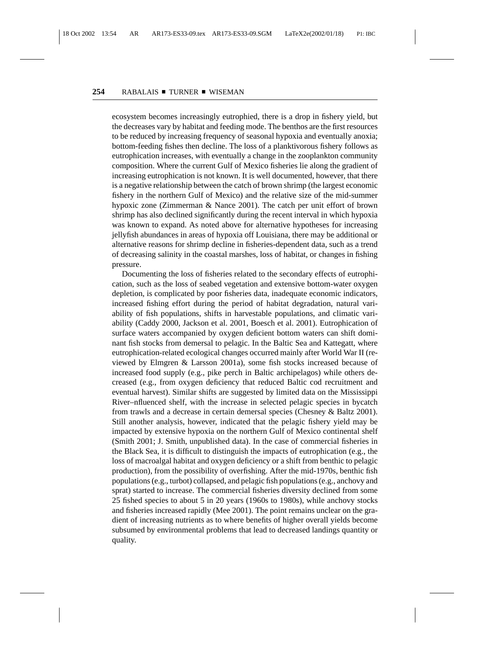ecosystem becomes increasingly eutrophied, there is a drop in fishery yield, but the decreases vary by habitat and feeding mode. The benthos are the first resources to be reduced by increasing frequency of seasonal hypoxia and eventually anoxia; bottom-feeding fishes then decline. The loss of a planktivorous fishery follows as eutrophication increases, with eventually a change in the zooplankton community composition. Where the current Gulf of Mexico fisheries lie along the gradient of increasing eutrophication is not known. It is well documented, however, that there is a negative relationship between the catch of brown shrimp (the largest economic fishery in the northern Gulf of Mexico) and the relative size of the mid-summer hypoxic zone (Zimmerman & Nance 2001). The catch per unit effort of brown shrimp has also declined significantly during the recent interval in which hypoxia was known to expand. As noted above for alternative hypotheses for increasing jellyfish abundances in areas of hypoxia off Louisiana, there may be additional or alternative reasons for shrimp decline in fisheries-dependent data, such as a trend of decreasing salinity in the coastal marshes, loss of habitat, or changes in fishing pressure.

Documenting the loss of fisheries related to the secondary effects of eutrophication, such as the loss of seabed vegetation and extensive bottom-water oxygen depletion, is complicated by poor fisheries data, inadequate economic indicators, increased fishing effort during the period of habitat degradation, natural variability of fish populations, shifts in harvestable populations, and climatic variability (Caddy 2000, Jackson et al. 2001, Boesch et al. 2001). Eutrophication of surface waters accompanied by oxygen deficient bottom waters can shift dominant fish stocks from demersal to pelagic. In the Baltic Sea and Kattegatt, where eutrophication-related ecological changes occurred mainly after World War II (reviewed by Elmgren & Larsson 2001a), some fish stocks increased because of increased food supply (e.g., pike perch in Baltic archipelagos) while others decreased (e.g., from oxygen deficiency that reduced Baltic cod recruitment and eventual harvest). Similar shifts are suggested by limited data on the Mississippi River–nfluenced shelf, with the increase in selected pelagic species in bycatch from trawls and a decrease in certain demersal species (Chesney & Baltz 2001). Still another analysis, however, indicated that the pelagic fishery yield may be impacted by extensive hypoxia on the northern Gulf of Mexico continental shelf (Smith 2001; J. Smith, unpublished data). In the case of commercial fisheries in the Black Sea, it is difficult to distinguish the impacts of eutrophication (e.g., the loss of macroalgal habitat and oxygen deficiency or a shift from benthic to pelagic production), from the possibility of overfishing. After the mid-1970s, benthic fish populations (e.g., turbot) collapsed, and pelagic fish populations (e.g., anchovy and sprat) started to increase. The commercial fisheries diversity declined from some 25 fished species to about 5 in 20 years (1960s to 1980s), while anchovy stocks and fisheries increased rapidly (Mee 2001). The point remains unclear on the gradient of increasing nutrients as to where benefits of higher overall yields become subsumed by environmental problems that lead to decreased landings quantity or quality.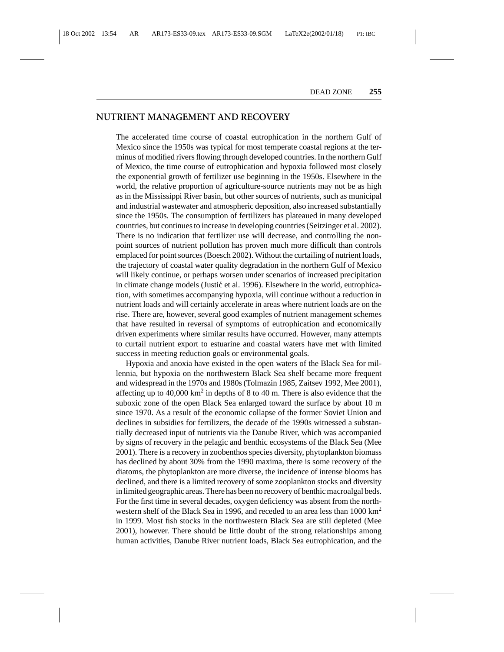# **NUTRIENT MANAGEMENT AND RECOVERY**

The accelerated time course of coastal eutrophication in the northern Gulf of Mexico since the 1950s was typical for most temperate coastal regions at the terminus of modified rivers flowing through developed countries. In the northern Gulf of Mexico, the time course of eutrophication and hypoxia followed most closely the exponential growth of fertilizer use beginning in the 1950s. Elsewhere in the world, the relative proportion of agriculture-source nutrients may not be as high as in the Mississippi River basin, but other sources of nutrients, such as municipal and industrial wastewater and atmospheric deposition, also increased substantially since the 1950s. The consumption of fertilizers has plateaued in many developed countries, but continues to increase in developing countries (Seitzinger et al. 2002). There is no indication that fertilizer use will decrease, and controlling the nonpoint sources of nutrient pollution has proven much more difficult than controls emplaced for point sources (Boesch 2002). Without the curtailing of nutrient loads, the trajectory of coastal water quality degradation in the northern Gulf of Mexico will likely continue, or perhaps worsen under scenarios of increased precipitation in climate change models (Justić et al. 1996). Elsewhere in the world, eutrophication, with sometimes accompanying hypoxia, will continue without a reduction in nutrient loads and will certainly accelerate in areas where nutrient loads are on the rise. There are, however, several good examples of nutrient management schemes that have resulted in reversal of symptoms of eutrophication and economically driven experiments where similar results have occurred. However, many attempts to curtail nutrient export to estuarine and coastal waters have met with limited success in meeting reduction goals or environmental goals.

Hypoxia and anoxia have existed in the open waters of the Black Sea for millennia, but hypoxia on the northwestern Black Sea shelf became more frequent and widespread in the 1970s and 1980s (Tolmazin 1985, Zaitsev 1992, Mee 2001), affecting up to  $40,000 \text{ km}^2$  in depths of 8 to 40 m. There is also evidence that the suboxic zone of the open Black Sea enlarged toward the surface by about 10 m since 1970. As a result of the economic collapse of the former Soviet Union and declines in subsidies for fertilizers, the decade of the 1990s witnessed a substantially decreased input of nutrients via the Danube River, which was accompanied by signs of recovery in the pelagic and benthic ecosystems of the Black Sea (Mee 2001). There is a recovery in zoobenthos species diversity, phytoplankton biomass has declined by about 30% from the 1990 maxima, there is some recovery of the diatoms, the phytoplankton are more diverse, the incidence of intense blooms has declined, and there is a limited recovery of some zooplankton stocks and diversity in limited geographic areas. There has been no recovery of benthic macroalgal beds. For the first time in several decades, oxygen deficiency was absent from the northwestern shelf of the Black Sea in 1996, and receded to an area less than 1000 km<sup>2</sup> in 1999. Most fish stocks in the northwestern Black Sea are still depleted (Mee 2001), however. There should be little doubt of the strong relationships among human activities, Danube River nutrient loads, Black Sea eutrophication, and the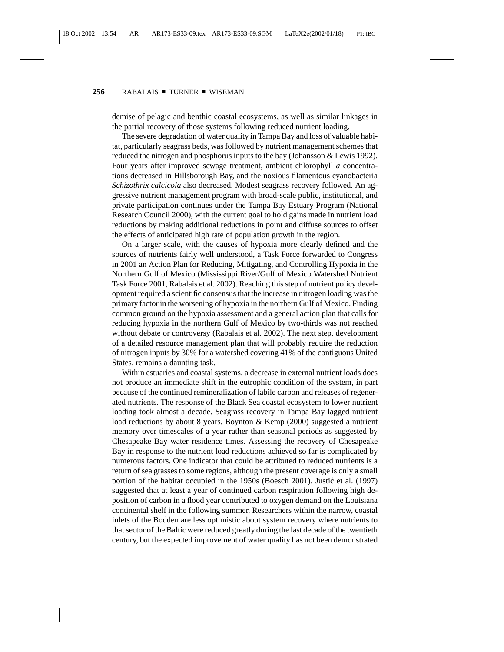demise of pelagic and benthic coastal ecosystems, as well as similar linkages in the partial recovery of those systems following reduced nutrient loading.

The severe degradation of water quality in Tampa Bay and loss of valuable habitat, particularly seagrass beds, was followed by nutrient management schemes that reduced the nitrogen and phosphorus inputs to the bay (Johansson & Lewis 1992). Four years after improved sewage treatment, ambient chlorophyll *a* concentrations decreased in Hillsborough Bay, and the noxious filamentous cyanobacteria *Schizothrix calcicola* also decreased. Modest seagrass recovery followed. An aggressive nutrient management program with broad-scale public, institutional, and private participation continues under the Tampa Bay Estuary Program (National Research Council 2000), with the current goal to hold gains made in nutrient load reductions by making additional reductions in point and diffuse sources to offset the effects of anticipated high rate of population growth in the region.

On a larger scale, with the causes of hypoxia more clearly defined and the sources of nutrients fairly well understood, a Task Force forwarded to Congress in 2001 an Action Plan for Reducing, Mitigating, and Controlling Hypoxia in the Northern Gulf of Mexico (Mississippi River/Gulf of Mexico Watershed Nutrient Task Force 2001, Rabalais et al. 2002). Reaching this step of nutrient policy development required a scientific consensus that the increase in nitrogen loading was the primary factor in the worsening of hypoxia in the northern Gulf of Mexico. Finding common ground on the hypoxia assessment and a general action plan that calls for reducing hypoxia in the northern Gulf of Mexico by two-thirds was not reached without debate or controversy (Rabalais et al. 2002). The next step, development of a detailed resource management plan that will probably require the reduction of nitrogen inputs by 30% for a watershed covering 41% of the contiguous United States, remains a daunting task.

Within estuaries and coastal systems, a decrease in external nutrient loads does not produce an immediate shift in the eutrophic condition of the system, in part because of the continued remineralization of labile carbon and releases of regenerated nutrients. The response of the Black Sea coastal ecosystem to lower nutrient loading took almost a decade. Seagrass recovery in Tampa Bay lagged nutrient load reductions by about 8 years. Boynton & Kemp (2000) suggested a nutrient memory over timescales of a year rather than seasonal periods as suggested by Chesapeake Bay water residence times. Assessing the recovery of Chesapeake Bay in response to the nutrient load reductions achieved so far is complicated by numerous factors. One indicator that could be attributed to reduced nutrients is a return of sea grasses to some regions, although the present coverage is only a small portion of the habitat occupied in the 1950s (Boesch 2001). Justić et al. (1997) suggested that at least a year of continued carbon respiration following high deposition of carbon in a flood year contributed to oxygen demand on the Louisiana continental shelf in the following summer. Researchers within the narrow, coastal inlets of the Bodden are less optimistic about system recovery where nutrients to that sector of the Baltic were reduced greatly during the last decade of the twentieth century, but the expected improvement of water quality has not been demonstrated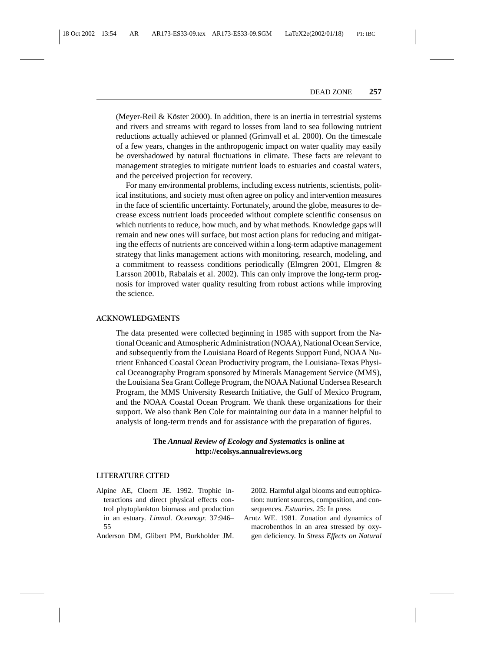(Meyer-Reil & Köster 2000). In addition, there is an inertia in terrestrial systems and rivers and streams with regard to losses from land to sea following nutrient reductions actually achieved or planned (Grimvall et al. 2000). On the timescale of a few years, changes in the anthropogenic impact on water quality may easily be overshadowed by natural fluctuations in climate. These facts are relevant to management strategies to mitigate nutrient loads to estuaries and coastal waters, and the perceived projection for recovery.

For many environmental problems, including excess nutrients, scientists, political institutions, and society must often agree on policy and intervention measures in the face of scientific uncertainty. Fortunately, around the globe, measures to decrease excess nutrient loads proceeded without complete scientific consensus on which nutrients to reduce, how much, and by what methods. Knowledge gaps will remain and new ones will surface, but most action plans for reducing and mitigating the effects of nutrients are conceived within a long-term adaptive management strategy that links management actions with monitoring, research, modeling, and a commitment to reassess conditions periodically (Elmgren 2001, Elmgren & Larsson 2001b, Rabalais et al. 2002). This can only improve the long-term prognosis for improved water quality resulting from robust actions while improving the science.

#### **ACKNOWLEDGMENTS**

The data presented were collected beginning in 1985 with support from the National Oceanic and Atmospheric Administration (NOAA), National Ocean Service, and subsequently from the Louisiana Board of Regents Support Fund, NOAA Nutrient Enhanced Coastal Ocean Productivity program, the Louisiana-Texas Physical Oceanography Program sponsored by Minerals Management Service (MMS), the Louisiana Sea Grant College Program, the NOAA National Undersea Research Program, the MMS University Research Initiative, the Gulf of Mexico Program, and the NOAA Coastal Ocean Program. We thank these organizations for their support. We also thank Ben Cole for maintaining our data in a manner helpful to analysis of long-term trends and for assistance with the preparation of figures.

#### **The** *Annual Review of Ecology and Systematics* **is online at http://ecolsys.annualreviews.org**

#### **LITERATURE CITED**

- Alpine AE, Cloern JE. 1992. Trophic interactions and direct physical effects control phytoplankton biomass and production in an estuary. *Limnol. Oceanogr.* 37:946– 55
- Anderson DM, Glibert PM, Burkholder JM.

2002. Harmful algal blooms and eutrophication: nutrient sources, composition, and consequences. *Estuaries.* 25: In press

Arntz WE. 1981. Zonation and dynamics of macrobenthos in an area stressed by oxygen deficiency. In *Stress Effects on Natural*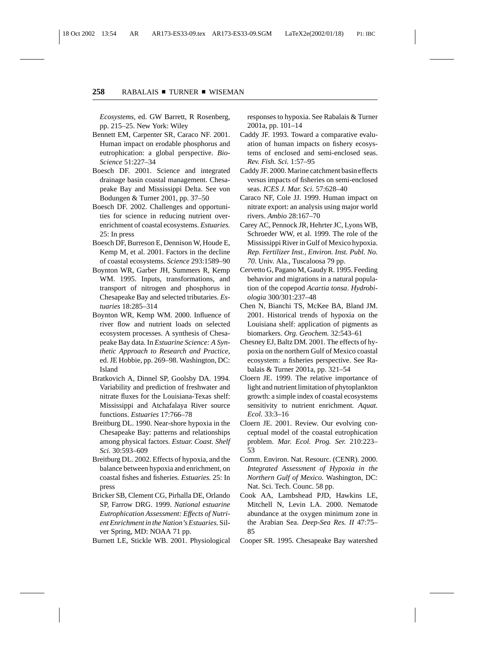*Ecosystems*, ed. GW Barrett, R Rosenberg, pp. 215–25. New York: Wiley

- Bennett EM, Carpenter SR, Caraco NF. 2001. Human impact on erodable phosphorus and eutrophication: a global perspective. *Bio-Science* 51:227–34
- Boesch DF. 2001. Science and integrated drainage basin coastal management. Chesapeake Bay and Mississippi Delta. See von Bodungen & Turner 2001, pp. 37–50
- Boesch DF. 2002. Challenges and opportunities for science in reducing nutrient overenrichment of coastal ecosystems. *Estuaries.* 25: In press
- Boesch DF, Burreson E, Dennison W, Houde E, Kemp M, et al. 2001. Factors in the decline of coastal ecosystems. *Science* 293:1589–90
- Boynton WR, Garber JH, Summers R, Kemp WM. 1995. Inputs, transformations, and transport of nitrogen and phosphorus in Chesapeake Bay and selected tributaries. *Estuaries* 18:285–314
- Boynton WR, Kemp WM. 2000. Influence of river flow and nutrient loads on selected ecosystem processes. A synthesis of Chesapeake Bay data. In *Estuarine Science: A Synthetic Approach to Research and Practice*, ed. JE Hobbie, pp. 269–98. Washington, DC: Island
- Bratkovich A, Dinnel SP, Goolsby DA. 1994. Variability and prediction of freshwater and nitrate fluxes for the Louisiana-Texas shelf: Mississippi and Atchafalaya River source functions. *Estuaries* 17:766–78
- Breitburg DL. 1990. Near-shore hypoxia in the Chesapeake Bay: patterns and relationships among physical factors. *Estuar. Coast. Shelf Sci.* 30:593–609
- Breitburg DL. 2002. Effects of hypoxia, and the balance between hypoxia and enrichment, on coastal fishes and fisheries. *Estuaries.* 25: In press
- Bricker SB, Clement CG, Pirhalla DE, Orlando SP, Farrow DRG. 1999. *National estuarine Eutrophication Assessment: Effects of Nutrient Enrichment in the Nation's Estuaries.* Silver Spring, MD: NOAA 71 pp.

Burnett LE, Stickle WB. 2001. Physiological

responses to hypoxia. See Rabalais & Turner 2001a, pp. 101–14

- Caddy JF. 1993. Toward a comparative evaluation of human impacts on fishery ecosystems of enclosed and semi-enclosed seas. *Rev. Fish. Sci.* 1:57–95
- Caddy JF. 2000. Marine catchment basin effects versus impacts of fisheries on semi-enclosed seas. *ICES J. Mar. Sci.* 57:628–40
- Caraco NF, Cole JJ. 1999. Human impact on nitrate export: an analysis using major world rivers. *Ambio* 28:167–70
- Carey AC, Pennock JR, Hehrter JC, Lyons WB, Schroeder WW, et al. 1999. The role of the Mississippi River in Gulf of Mexico hypoxia. *Rep. Fertilizer Inst., Environ. Inst. Publ. No. 70*. Univ. Ala., Tuscaloosa 79 pp.
- Cervetto G, Pagano M, Gaudy R. 1995. Feeding behavior and migrations in a natural population of the copepod *Acartia tonsa*. *Hydrobiologia* 300/301:237–48
- Chen N, Bianchi TS, McKee BA, Bland JM. 2001. Historical trends of hypoxia on the Louisiana shelf: application of pigments as biomarkers. *Org. Geochem.* 32:543–61
- Chesney EJ, Baltz DM. 2001. The effects of hypoxia on the northern Gulf of Mexico coastal ecosystem: a fisheries perspective. See Rabalais & Turner 2001a, pp. 321–54
- Cloern JE. 1999. The relative importance of light and nutrient limitation of phytoplankton growth: a simple index of coastal ecosystems sensitivity to nutrient enrichment. *Aquat. Ecol.* 33:3–16
- Cloern JE. 2001. Review. Our evolving conceptual model of the coastal eutrophication problem. *Mar. Ecol. Prog. Ser.* 210:223– 53
- Comm. Environ. Nat. Resourc. (CENR). 2000. *Integrated Assessment of Hypoxia in the Northern Gulf of Mexico.* Washington, DC: Nat. Sci. Tech. Counc. 58 pp.
- Cook AA, Lambshead PJD, Hawkins LE, Mitchell N, Levin LA. 2000. Nematode abundance at the oxygen minimum zone in the Arabian Sea. *Deep-Sea Res. II* 47:75– 85
- Cooper SR. 1995. Chesapeake Bay watershed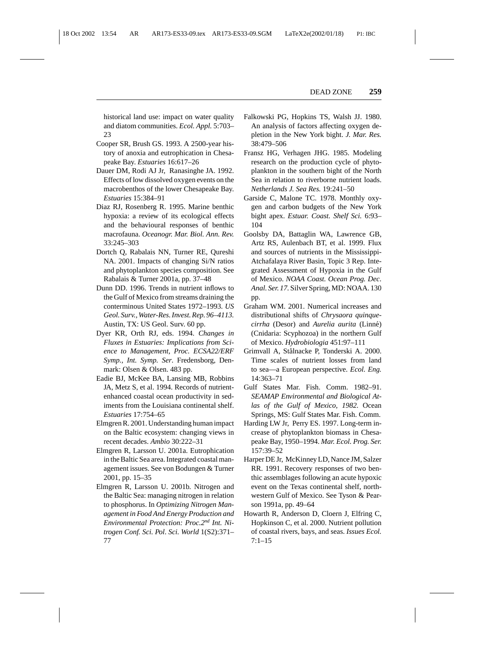historical land use: impact on water quality and diatom communities. *Ecol. Appl.* 5:703– 23

- Cooper SR, Brush GS. 1993. A 2500-year history of anoxia and eutrophication in Chesapeake Bay. *Estuaries* 16:617–26
- Dauer DM, Rodi AJ Jr, Ranasinghe JA. 1992. Effects of low dissolved oxygen events on the macrobenthos of the lower Chesapeake Bay. *Estuaries* 15:384–91
- Diaz RJ, Rosenberg R. 1995. Marine benthic hypoxia: a review of its ecological effects and the behavioural responses of benthic macrofauna. *Oceanogr. Mar. Biol. Ann. Rev.* 33:245–303
- Dortch Q, Rabalais NN, Turner RE, Qureshi NA. 2001. Impacts of changing Si/N ratios and phytoplankton species composition. See Rabalais & Turner 2001a, pp. 37–48
- Dunn DD. 1996. Trends in nutrient inflows to the Gulf of Mexico from streams draining the conterminous United States 1972–1993. *US Geol. Surv., Water-Res. Invest. Rep. 96–4113.* Austin, TX: US Geol. Surv. 60 pp.
- Dyer KR, Orth RJ, eds. 1994. *Changes in Fluxes in Estuaries: Implications from Science to Management*, *Proc. ECSA22/ERF Symp., Int. Symp. Ser*. Fredensborg, Denmark: Olsen & Olsen. 483 pp.
- Eadie BJ, McKee BA, Lansing MB, Robbins JA, Metz S, et al. 1994. Records of nutrientenhanced coastal ocean productivity in sediments from the Louisiana continental shelf. *Estuaries* 17:754–65
- Elmgren R. 2001. Understanding human impact on the Baltic ecosystem: changing views in recent decades. *Ambio* 30:222–31
- Elmgren R, Larsson U. 2001a. Eutrophication in the Baltic Sea area. Integrated coastal management issues. See von Bodungen & Turner 2001, pp. 15–35

Elmgren R, Larsson U. 2001b. Nitrogen and the Baltic Sea: managing nitrogen in relation to phosphorus. In *Optimizing Nitrogen Management in Food And Energy Production and Environmental Protection: Proc.2nd Int. Nitrogen Conf. Sci. Pol*. *Sci. World* 1(S2):371– 77

- Falkowski PG, Hopkins TS, Walsh JJ. 1980. An analysis of factors affecting oxygen depletion in the New York bight. *J. Mar. Res.* 38:479–506
- Fransz HG, Verhagen JHG. 1985. Modeling research on the production cycle of phytoplankton in the southern bight of the North Sea in relation to riverborne nutrient loads. *Netherlands J. Sea Res.* 19:241–50
- Garside C, Malone TC. 1978. Monthly oxygen and carbon budgets of the New York bight apex. *Estuar. Coast. Shelf Sci.* 6:93– 104
- Goolsby DA, Battaglin WA, Lawrence GB, Artz RS, Aulenbach BT, et al. 1999. Flux and sources of nutrients in the Mississippi-Atchafalaya River Basin, Topic 3 Rep. Integrated Assessment of Hypoxia in the Gulf of Mexico. *NOAA Coast. Ocean Prog. Dec. Anal. Ser. 17.* Silver Spring, MD: NOAA. 130 pp.
- Graham WM. 2001. Numerical increases and distributional shifts of *Chrysaora quinquecirrha* (Desor) and *Aurelia aurita* (Linn´e) (Cnidaria: Scyphozoa) in the northern Gulf of Mexico. *Hydrobiologia* 451:97–111
- Grimvall A, Stålnacke P, Tonderski A, 2000. Time scales of nutrient losses from land to sea—a European perspective. *Ecol. Eng.* 14:363–71
- Gulf States Mar. Fish. Comm. 1982–91. *SEAMAP Environmental and Biological Atlas of the Gulf of Mexico, 1982.* Ocean Springs, MS: Gulf States Mar. Fish. Comm.
- Harding LW Jr, Perry ES. 1997. Long-term increase of phytoplankton biomass in Chesapeake Bay, 1950–1994. *Mar. Ecol. Prog. Ser.* 157:39–52
- Harper DE Jr, McKinney LD, Nance JM, Salzer RR. 1991. Recovery responses of two benthic assemblages following an acute hypoxic event on the Texas continental shelf, northwestern Gulf of Mexico. See Tyson & Pearson 1991a, pp. 49–64
- Howarth R, Anderson D, Cloern J, Elfring C, Hopkinson C, et al. 2000. Nutrient pollution of coastal rivers, bays, and seas. *Issues Ecol.* 7:1–15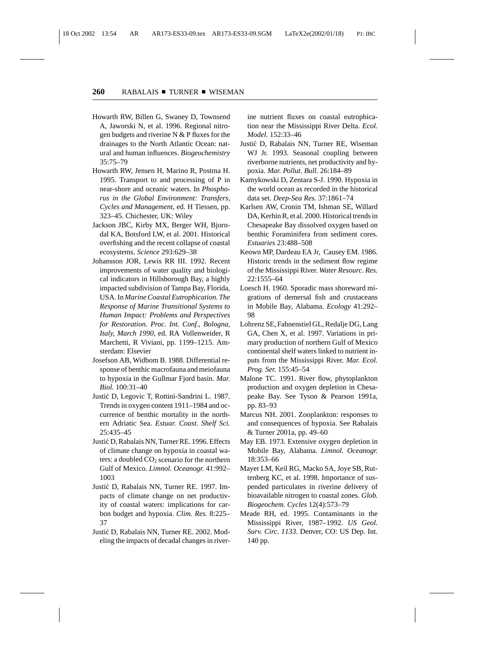- Howarth RW, Billen G, Swaney D, Townsend A, Jaworski N, et al. 1996. Regional nitrogen budgets and riverine N & P fluxes for the drainages to the North Atlantic Ocean: natural and human influences. *Biogeochemistry* 35:75–79
- Howarth RW, Jensen H, Marino R, Postma H. 1995. Transport to and processing of P in near-shore and oceanic waters. In *Phosphorus in the Global Environment: Transfers, Cycles and Management*, ed. H Tiessen, pp. 323–45. Chichester, UK: Wiley
- Jackson JBC, Kirby MX, Berger WH, Bjorndal KA, Botsford LW, et al. 2001. Historical overfishing and the recent collapse of coastal ecosystems. *Science* 293:629–38
- Johansson JOR, Lewis RR III. 1992. Recent improvements of water quality and biological indicators in Hillsborough Bay, a highly impacted subdivision of Tampa Bay, Florida, USA. In *Marine Coastal Eutrophication. The Response of Marine Transitional Systems to Human Impact: Problems and Perspectives for Restoration*. *Proc. Int. Conf., Bologna, Italy, March 1990*, ed. RA Vollenweider, R Marchetti, R Viviani, pp. 1199–1215. Amsterdam: Elsevier
- Josefson AB, Widbom B. 1988. Differential response of benthic macrofauna and meiofauna to hypoxia in the Gullmar Fjord basin. *Mar. Biol.* 100:31–40
- Justić D, Legovic T, Rottini-Sandrini L. 1987. Trends in oxygen content 1911–1984 and occurrence of benthic mortality in the northern Adriatic Sea. *Estuar. Coast. Shelf Sci.* 25:435–45
- Justić D, Rabalais NN, Turner RE. 1996. Effects of climate change on hypoxia in coastal waters: a doubled  $CO<sub>2</sub>$  scenario for the northern Gulf of Mexico. *Limnol. Oceanogr.* 41:992– 1003
- Justić D, Rabalais NN, Turner RE. 1997. Impacts of climate change on net productivity of coastal waters: implications for carbon budget and hypoxia. *Clim. Res.* 8:225– 37
- Justić D, Rabalais NN, Turner RE. 2002. Modeling the impacts of decadal changes in river-

ine nutrient fluxes on coastal eutrophication near the Mississippi River Delta. *Ecol. Model.* 152:33–46

- Justić D, Rabalais NN, Turner RE, Wiseman WJ Jr. 1993. Seasonal coupling between riverborne nutrients, net productivity and hypoxia. *Mar. Pollut. Bull.* 26:184–89
- Kamykowski D, Zentara S-J. 1990. Hypoxia in the world ocean as recorded in the historical data set. *Deep-Sea Res.* 37:1861–74
- Karlsen AW, Cronin TM, Ishman SE, Willard DA, Kerhin R, et al. 2000. Historical trends in Chesapeake Bay dissolved oxygen based on benthic Foraminifera from sediment cores. *Estuaries* 23:488–508
- Keown MP, Dardeau EA Jr, Causey EM. 1986. Historic trends in the sediment flow regime of the Mississippi River. *Water Resourc. Res.* 22:1555–64
- Loesch H. 1960. Sporadic mass shoreward migrations of demersal fish and crustaceans in Mobile Bay, Alabama. *Ecology* 41:292– 98
- Lohrenz SE, Fahnenstiel GL, Redalje DG, Lang GA, Chen X, et al. 1997. Variations in primary production of northern Gulf of Mexico continental shelf waters linked to nutrient inputs from the Mississippi River. *Mar. Ecol. Prog. Ser.* 155:45–54
- Malone TC. 1991. River flow, phytoplankton production and oxygen depletion in Chesapeake Bay. See Tyson & Pearson 1991a, pp. 83–93
- Marcus NH. 2001. Zooplankton: responses to and consequences of hypoxia. See Rabalais & Turner 2001a, pp. 49–60
- May EB. 1973. Extensive oxygen depletion in Mobile Bay, Alabama. *Limnol. Oceanogr.* 18:353–66
- Mayer LM, Keil RG, Macko SA, Joye SB, Ruttenberg KC, et al. 1998. Importance of suspended particulates in riverine delivery of bioavailable nitrogen to coastal zones. *Glob. Biogeochem. Cycles* 12(4):573–79
- Meade RH, ed. 1995. Contaminants in the Mississippi River, 1987–1992. *US Geol. Surv. Circ. 1133.* Denver, CO: US Dep. Int. 140 pp.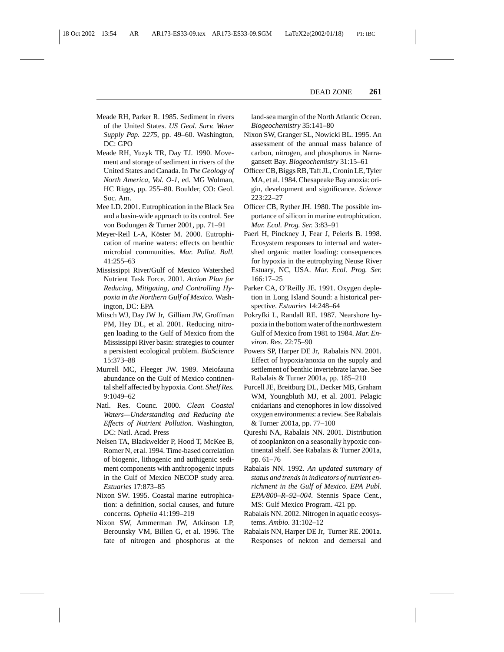- Meade RH, Parker R. 1985. Sediment in rivers of the United States. *US Geol. Surv. Water Supply Pap. 2275*, pp. 49–60. Washington, DC: GPO
- Meade RH, Yuzyk TR, Day TJ. 1990. Movement and storage of sediment in rivers of the United States and Canada. In *The Geology of North America*, *Vol. O-1*, ed. MG Wolman, HC Riggs, pp. 255–80. Boulder, CO: Geol. Soc. Am.
- Mee LD. 2001. Eutrophication in the Black Sea and a basin-wide approach to its control. See von Bodungen & Turner 2001, pp. 71–91
- Meyer-Reil L-A, Köster M. 2000. Eutrophication of marine waters: effects on benthic microbial communities. *Mar. Pollut. Bull.* 41:255–63
- Mississippi River/Gulf of Mexico Watershed Nutrient Task Force. 2001. *Action Plan for Reducing, Mitigating, and Controlling Hypoxia in the Northern Gulf of Mexico.* Washington, DC: EPA
- Mitsch WJ, Day JW Jr, Gilliam JW, Groffman PM, Hey DL, et al. 2001. Reducing nitrogen loading to the Gulf of Mexico from the Mississippi River basin: strategies to counter a persistent ecological problem. *BioScience* 15:373–88
- Murrell MC, Fleeger JW. 1989. Meiofauna abundance on the Gulf of Mexico continental shelf affected by hypoxia.*Cont. Shelf Res.* 9:1049–62
- Natl. Res. Counc. 2000. *Clean Coastal Waters—Understanding and Reducing the Effects of Nutrient Pollution.* Washington, DC: Natl. Acad. Press
- Nelsen TA, Blackwelder P, Hood T, McKee B, Romer N, et al. 1994. Time-based correlation of biogenic, lithogenic and authigenic sediment components with anthropogenic inputs in the Gulf of Mexico NECOP study area. *Estuaries* 17:873–85
- Nixon SW. 1995. Coastal marine eutrophication: a definition, social causes, and future concerns. *Ophelia* 41:199–219
- Nixon SW, Ammerman JW, Atkinson LP, Berounsky VM, Billen G, et al. 1996. The fate of nitrogen and phosphorus at the

land-sea margin of the North Atlantic Ocean. *Biogeochemistry* 35:141–80

- Nixon SW, Granger SL, Nowicki BL. 1995. An assessment of the annual mass balance of carbon, nitrogen, and phosphorus in Narragansett Bay. *Biogeochemistry* 31:15–61
- Officer CB, Biggs RB, Taft JL, Cronin LE, Tyler MA, et al. 1984. Chesapeake Bay anoxia: origin, development and significance. *Science* 223:22–27
- Officer CB, Ryther JH. 1980. The possible importance of silicon in marine eutrophication. *Mar. Ecol. Prog. Ser.* 3:83–91
- Paerl H, Pinckney J, Fear J, Peierls B. 1998. Ecosystem responses to internal and watershed organic matter loading: consequences for hypoxia in the eutrophying Neuse River Estuary, NC, USA. *Mar. Ecol. Prog. Ser.* 166:17–25
- Parker CA, O'Reilly JE. 1991. Oxygen depletion in Long Island Sound: a historical perspective. *Estuaries* 14:248–64
- Pokryfki L, Randall RE. 1987. Nearshore hypoxia in the bottom water of the northwestern Gulf of Mexico from 1981 to 1984. *Mar. Environ. Res.* 22:75–90
- Powers SP, Harper DE Jr, Rabalais NN. 2001. Effect of hypoxia/anoxia on the supply and settlement of benthic invertebrate larvae. See Rabalais & Turner 2001a, pp. 185–210
- Purcell JE, Breitburg DL, Decker MB, Graham WM, Youngbluth MJ, et al. 2001. Pelagic cnidarians and ctenophores in low dissolved oxygen environments: a review. See Rabalais & Turner 2001a, pp. 77–100
- Qureshi NA, Rabalais NN. 2001. Distribution of zooplankton on a seasonally hypoxic continental shelf. See Rabalais & Turner 2001a, pp. 61–76
- Rabalais NN. 1992. *An updated summary of status and trends in indicators of nutrient enrichment in the Gulf of Mexico*. *EPA Publ. EPA/800–R–92–004.* Stennis Space Cent., MS: Gulf Mexico Program. 421 pp.
- Rabalais NN. 2002. Nitrogen in aquatic ecosystems. *Ambio.* 31:102–12
- Rabalais NN, Harper DE Jr, Turner RE. 2001a. Responses of nekton and demersal and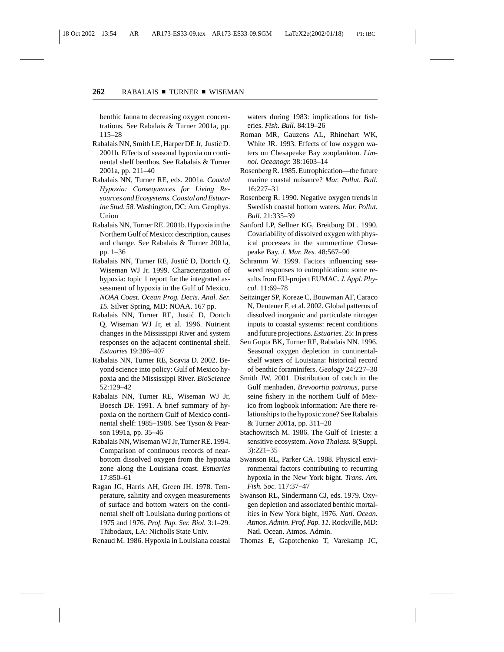benthic fauna to decreasing oxygen concentrations. See Rabalais & Turner 2001a, pp. 115–28

- Rabalais NN, Smith LE, Harper DE Jr, Justić D. 2001b. Effects of seasonal hypoxia on continental shelf benthos. See Rabalais & Turner 2001a, pp. 211–40
- Rabalais NN, Turner RE, eds. 2001a. *Coastal Hypoxia: Consequences for Living Resources and Ecosystems*.*Coastal and Estuarine Stud. 58.*Washington, DC: Am. Geophys. Union
- Rabalais NN, Turner RE. 2001b. Hypoxia in the Northern Gulf of Mexico: description, causes and change. See Rabalais & Turner 2001a, pp. 1–36
- Rabalais NN, Turner RE, Justić D, Dortch Q, Wiseman WJ Jr. 1999. Characterization of hypoxia: topic 1 report for the integrated assessment of hypoxia in the Gulf of Mexico. *NOAA Coast. Ocean Prog. Decis. Anal. Ser. 15.* Silver Spring, MD: NOAA. 167 pp.
- Rabalais NN, Turner RE, Justić D, Dortch Q, Wiseman WJ Jr, et al. 1996. Nutrient changes in the Mississippi River and system responses on the adjacent continental shelf. *Estuaries* 19:386–407
- Rabalais NN, Turner RE, Scavia D. 2002. Beyond science into policy: Gulf of Mexico hypoxia and the Mississippi River. *BioScience* 52:129–42
- Rabalais NN, Turner RE, Wiseman WJ Jr, Boesch DF. 1991. A brief summary of hypoxia on the northern Gulf of Mexico continental shelf: 1985–1988. See Tyson & Pearson 1991a, pp. 35–46
- Rabalais NN, Wiseman WJ Jr, Turner RE. 1994. Comparison of continuous records of nearbottom dissolved oxygen from the hypoxia zone along the Louisiana coast. *Estuaries* 17:850–61
- Ragan JG, Harris AH, Green JH. 1978. Temperature, salinity and oxygen measurements of surface and bottom waters on the continental shelf off Louisiana during portions of 1975 and 1976. *Prof. Pap. Ser. Biol.* 3:1–29. Thibodaux, LA: Nicholls State Univ.

Renaud M. 1986. Hypoxia in Louisiana coastal

waters during 1983: implications for fisheries. *Fish. Bull.* 84:19–26

- Roman MR, Gauzens AL, Rhinehart WK, White JR. 1993. Effects of low oxygen waters on Chesapeake Bay zooplankton. *Limnol. Oceanogr.* 38:1603–14
- Rosenberg R. 1985. Eutrophication—the future marine coastal nuisance? *Mar. Pollut. Bull.* 16:227–31
- Rosenberg R. 1990. Negative oxygen trends in Swedish coastal bottom waters. *Mar. Pollut. Bull.* 21:335–39
- Sanford LP, Sellner KG, Breitburg DL. 1990. Covariability of dissolved oxygen with physical processes in the summertime Chesapeake Bay. *J. Mar. Res.* 48:567–90
- Schramm W. 1999. Factors influencing seaweed responses to eutrophication: some results from EU-project EUMAC. *J. Appl. Phycol.* 11:69–78
- Seitzinger SP, Koreze C, Bouwman AF, Caraco N, Dentener F, et al. 2002. Global patterns of dissolved inorganic and particulate nitrogen inputs to coastal systems: recent conditions and future projections. *Estuaries.* 25: In press
- Sen Gupta BK, Turner RE, Rabalais NN. 1996. Seasonal oxygen depletion in continentalshelf waters of Louisiana: historical record of benthic foraminifers. *Geology* 24:227–30
- Smith JW. 2001. Distribution of catch in the Gulf menhaden, *Brevoortia patronus*, purse seine fishery in the northern Gulf of Mexico from logbook information: Are there relationships to the hypoxic zone? See Rabalais & Turner 2001a, pp. 311–20
- Stachowitsch M. 1986. The Gulf of Trieste: a sensitive ecosystem. *Nova Thalass.* 8(Suppl. 3):221–35
- Swanson RL, Parker CA. 1988. Physical environmental factors contributing to recurring hypoxia in the New York bight. *Trans. Am. Fish. Soc.* 117:37–47
- Swanson RL, Sindermann CJ, eds. 1979. Oxygen depletion and associated benthic mortalities in New York bight, 1976. *Natl. Ocean. Atmos. Admin. Prof. Pap. 11.* Rockville, MD: Natl. Ocean. Atmos. Admin.
- Thomas E, Gapotchenko T, Varekamp JC,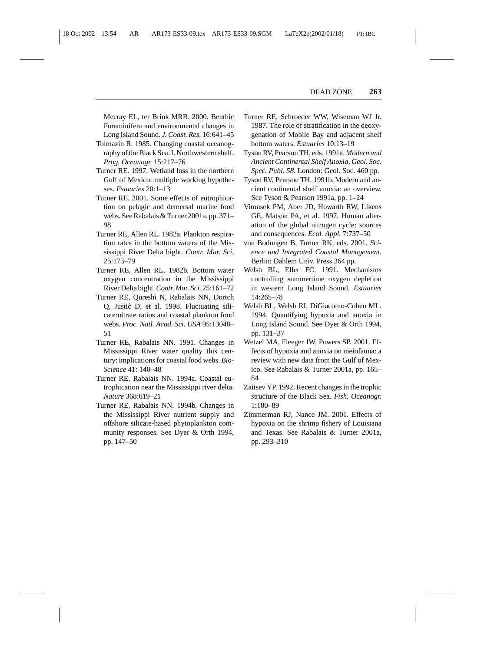Mecray EL, ter Brink MRB. 2000. Benthic Foraminifera and environmental changes in Long Island Sound. *J. Coast. Res.* 16:641–45

- Tolmazin R. 1985. Changing coastal oceanography of the Black Sea. I. Northwestern shelf. *Prog. Oceanogr.* 15:217–76
- Turner RE. 1997. Wetland loss in the northern Gulf of Mexico: multiple working hypotheses. *Estuaries* 20:1–13
- Turner RE. 2001. Some effects of eutrophication on pelagic and demersal marine food webs. See Rabalais & Turner 2001a, pp. 371– 98
- Turner RE, Allen RL. 1982a. Plankton respiration rates in the bottom waters of the Mississippi River Delta bight. *Contr. Mar. Sci.* 25:173–79
- Turner RE, Allen RL. 1982b. Bottom water oxygen concentration in the Mississippi River Delta bight.*Contr. Mar. Sci.* 25:161–72
- Turner RE, Qureshi N, Rabalais NN, Dortch Q, Justić D, et al. 1998. Fluctuating silicate:nitrate ratios and coastal plankton food webs. *Proc. Natl. Acad. Sci. USA* 95:13048– 51
- Turner RE, Rabalais NN. 1991. Changes in Mississippi River water quality this century: implications for coastal food webs. *Bio-Science* 41: 140–48
- Turner RE, Rabalais NN. 1994a. Coastal eutrophication near the Mississippi river delta. *Nature* 368:619–21
- Turner RE, Rabalais NN. 1994b. Changes in the Mississippi River nutrient supply and offshore silicate-based phytoplankton community responses. See Dyer & Orth 1994, pp. 147–50
- Turner RE, Schroeder WW, Wiseman WJ Jr. 1987. The role of stratification in the deoxygenation of Mobile Bay and adjacent shelf bottom waters. *Estuaries* 10:13–19
- Tyson RV, Pearson TH, eds. 1991a. *Modern and Ancient Continental Shelf Anoxia*, *Geol. Soc. Spec. Publ. 58.* London: Geol. Soc. 460 pp.
- Tyson RV, Pearson TH. 1991b. Modern and ancient continental shelf anoxia: an overview. See Tyson & Pearson 1991a, pp. 1–24
- Vitousek PM, Aber JD, Howarth RW, Likens GE, Matson PA, et al. 1997. Human alteration of the global nitrogen cycle: sources and consequences. *Ecol. Appl.* 7:737–50
- von Bodungen B, Turner RK, eds. 2001. *Science and Integrated Coastal Management*. Berlin: Dahlem Univ. Press 364 pp.
- Welsh BL, Eller FC. 1991. Mechanisms controlling summertime oxygen depletion in western Long Island Sound. *Estuaries* 14:265–78
- Welsh BL, Welsh RI, DiGiacomo-Cohen ML. 1994. Quantifying hypoxia and anoxia in Long Island Sound. See Dyer & Orth 1994, pp. 131–37
- Wetzel MA, Fleeger JW, Powers SP. 2001. Effects of hypoxia and anoxia on meiofauna: a review with new data from the Gulf of Mexico. See Rabalais & Turner 2001a, pp. 165– 84
- Zaitsev YP. 1992. Recent changes in the trophic structure of the Black Sea. *Fish. Oceanogr.* 1:180–89
- Zimmerman RJ, Nance JM. 2001. Effects of hypoxia on the shrimp fishery of Louisiana and Texas. See Rabalais & Turner 2001a, pp. 293–310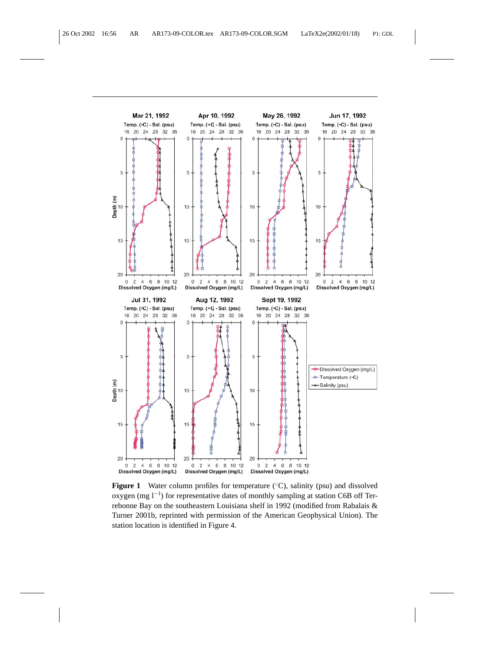

**Figure 1** Water column profiles for temperature (<sup>◦</sup>C), salinity (psu) and dissolved oxygen (mg l−<sup>1</sup> ) for representative dates of monthly sampling at station C6B off Terrebonne Bay on the southeastern Louisiana shelf in 1992 (modified from Rabalais & Turner 2001b, reprinted with permission of the American Geophysical Union). The station location is identified in Figure 4.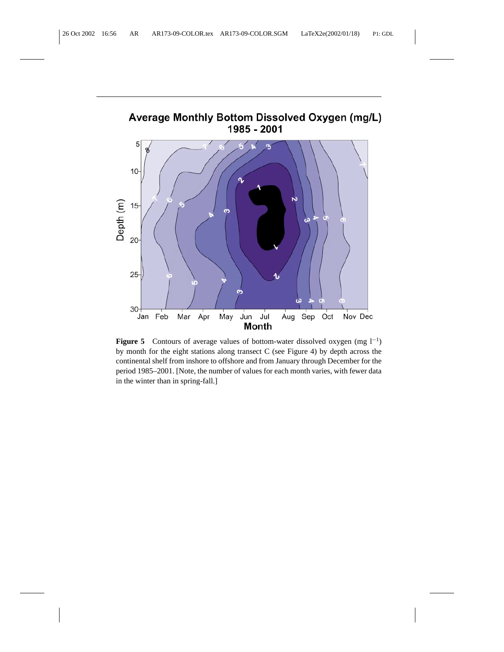



**Figure 5** Contours of average values of bottom-water dissolved oxygen (mg  $1^{-1}$ ) by month for the eight stations along transect C (see Figure 4) by depth across the continental shelf from inshore to offshore and from January through December for the period 1985–2001. [Note, the number of values for each month varies, with fewer data in the winter than in spring-fall.]